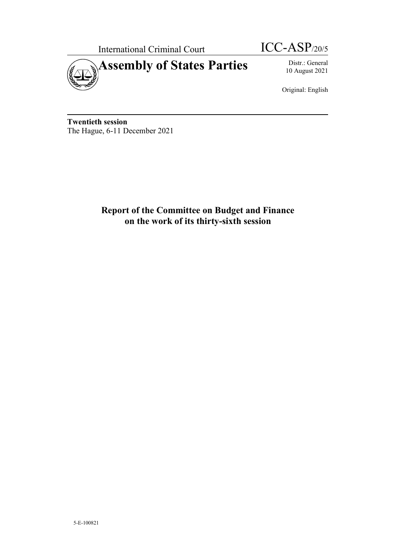

10 August 2021

Original: English

**Twentieth session**  The Hague, 6-11 December 2021

> **Report of the Committee on Budget and Finance on the work of its thirty-sixth session**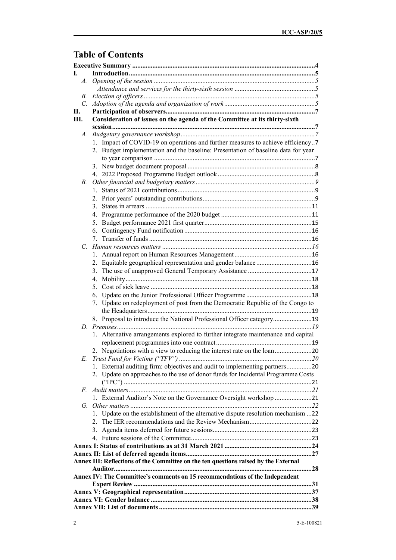# **Table of Contents**

| Ī.          |                                                                                     |  |
|-------------|-------------------------------------------------------------------------------------|--|
| $A_{-}$     |                                                                                     |  |
|             |                                                                                     |  |
| B.          |                                                                                     |  |
|             |                                                                                     |  |
| П.          |                                                                                     |  |
| Ш.          | Consideration of issues on the agenda of the Committee at its thirty-sixth          |  |
|             |                                                                                     |  |
| A.          |                                                                                     |  |
|             | 1. Impact of COVID-19 on operations and further measures to achieve efficiency7     |  |
|             | 2. Budget implementation and the baseline: Presentation of baseline data for year   |  |
|             |                                                                                     |  |
|             |                                                                                     |  |
|             |                                                                                     |  |
| В.          |                                                                                     |  |
|             |                                                                                     |  |
|             |                                                                                     |  |
|             |                                                                                     |  |
|             |                                                                                     |  |
|             |                                                                                     |  |
|             |                                                                                     |  |
|             |                                                                                     |  |
| $C_{\cdot}$ |                                                                                     |  |
|             |                                                                                     |  |
|             | 2. Equitable geographical representation and gender balance16                       |  |
|             |                                                                                     |  |
|             |                                                                                     |  |
|             |                                                                                     |  |
|             |                                                                                     |  |
|             | 7. Update on redeployment of post from the Democratic Republic of the Congo to      |  |
|             |                                                                                     |  |
|             | 8. Proposal to introduce the National Professional Officer category19               |  |
|             |                                                                                     |  |
|             | 1. Alternative arrangements explored to further integrate maintenance and capital   |  |
|             |                                                                                     |  |
|             | 2. Negotiations with a view to reducing the interest rate on the loan20             |  |
| E.          |                                                                                     |  |
|             | 1. External auditing firm: objectives and audit to implementing partners20          |  |
|             | 2. Update on approaches to the use of donor funds for Incidental Programme Costs    |  |
|             |                                                                                     |  |
| F.          |                                                                                     |  |
|             | 1. External Auditor's Note on the Governance Oversight workshop 21                  |  |
|             |                                                                                     |  |
|             | 1. Update on the establishment of the alternative dispute resolution mechanism 22   |  |
|             |                                                                                     |  |
|             |                                                                                     |  |
|             |                                                                                     |  |
|             |                                                                                     |  |
|             | Annex III: Reflections of the Committee on the ten questions raised by the External |  |
|             | 28                                                                                  |  |
|             | Annex IV: The Committee's comments on 15 recommendations of the Independent         |  |
|             |                                                                                     |  |
|             |                                                                                     |  |
|             |                                                                                     |  |
|             |                                                                                     |  |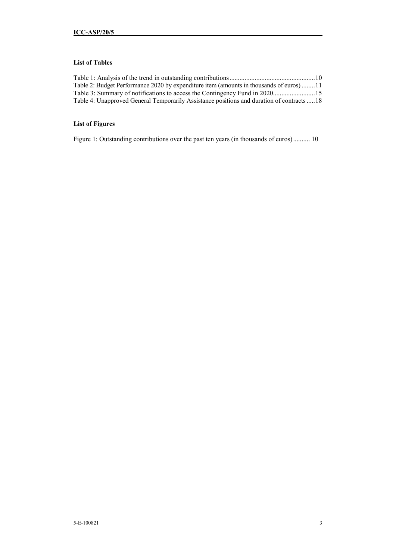## **List of Tables**

| Table 2: Budget Performance 2020 by expenditure item (amounts in thousands of euros)11     |  |
|--------------------------------------------------------------------------------------------|--|
|                                                                                            |  |
| Table 4: Unapproved General Temporarily Assistance positions and duration of contracts  18 |  |

## **List of Figures**

Figure 1: Outstanding contributions over the past ten years (in thousands of euros) .......... 10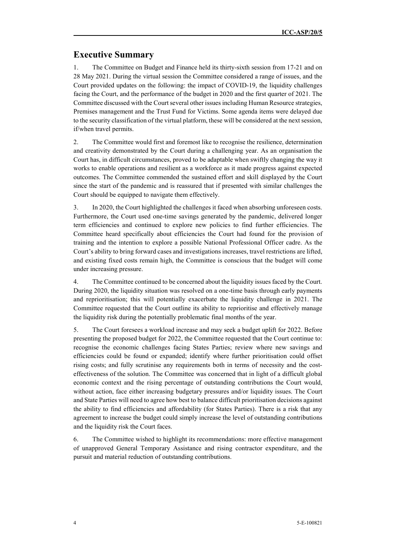## **Executive Summary**

1. The Committee on Budget and Finance held its thirty-sixth session from 17-21 and on 28 May 2021. During the virtual session the Committee considered a range of issues, and the Court provided updates on the following: the impact of COVID-19, the liquidity challenges facing the Court, and the performance of the budget in 2020 and the first quarter of 2021. The Committee discussed with the Court several other issues including Human Resource strategies, Premises management and the Trust Fund for Victims. Some agenda items were delayed due to the security classification of the virtual platform, these will be considered at the next session, if/when travel permits.

2. The Committee would first and foremost like to recognise the resilience, determination and creativity demonstrated by the Court during a challenging year. As an organisation the Court has, in difficult circumstances, proved to be adaptable when swiftly changing the way it works to enable operations and resilient as a workforce as it made progress against expected outcomes. The Committee commended the sustained effort and skill displayed by the Court since the start of the pandemic and is reassured that if presented with similar challenges the Court should be equipped to navigate them effectively.

3. In 2020, the Court highlighted the challenges it faced when absorbing unforeseen costs. Furthermore, the Court used one-time savings generated by the pandemic, delivered longer term efficiencies and continued to explore new policies to find further efficiencies. The Committee heard specifically about efficiencies the Court had found for the provision of training and the intention to explore a possible National Professional Officer cadre. As the Court's ability to bring forward cases and investigations increases, travel restrictions are lifted, and existing fixed costs remain high, the Committee is conscious that the budget will come under increasing pressure.

4. The Committee continued to be concerned about the liquidity issues faced by the Court. During 2020, the liquidity situation was resolved on a one-time basis through early payments and reprioritisation; this will potentially exacerbate the liquidity challenge in 2021. The Committee requested that the Court outline its ability to reprioritise and effectively manage the liquidity risk during the potentially problematic final months of the year.

5. The Court foresees a workload increase and may seek a budget uplift for 2022. Before presenting the proposed budget for 2022, the Committee requested that the Court continue to: recognise the economic challenges facing States Parties; review where new savings and efficiencies could be found or expanded; identify where further prioritisation could offset rising costs; and fully scrutinise any requirements both in terms of necessity and the costeffectiveness of the solution. The Committee was concerned that in light of a difficult global economic context and the rising percentage of outstanding contributions the Court would, without action, face either increasing budgetary pressures and/or liquidity issues. The Court and State Parties will need to agree how best to balance difficult prioritisation decisions against the ability to find efficiencies and affordability (for States Parties). There is a risk that any agreement to increase the budget could simply increase the level of outstanding contributions and the liquidity risk the Court faces.

6. The Committee wished to highlight its recommendations: more effective management of unapproved General Temporary Assistance and rising contractor expenditure, and the pursuit and material reduction of outstanding contributions.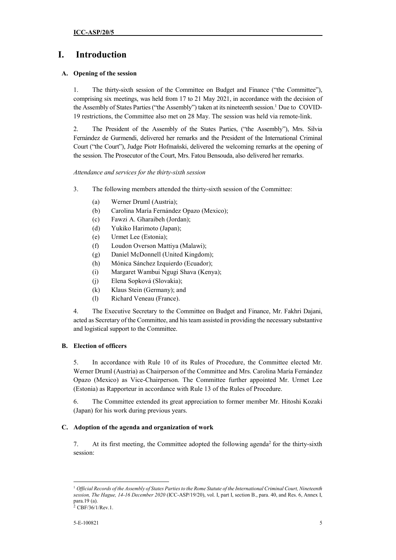# **I. Introduction**

## **A. Opening of the session**

1. The thirty-sixth session of the Committee on Budget and Finance ("the Committee"), comprising six meetings, was held from 17 to 21 May 2021, in accordance with the decision of the Assembly of States Parties ("the Assembly") taken at its nineteenth session.<sup>1</sup> Due to COVID-19 restrictions, the Committee also met on 28 May. The session was held via remote-link.

2. The President of the Assembly of the States Parties, ("the Assembly"), Mrs. Silvia Fernández de Gurmendi, delivered her remarks and the President of the International Criminal Court ("the Court"), Judge Piotr Hofmański, delivered the welcoming remarks at the opening of the session. The Prosecutor of the Court, Mrs. Fatou Bensouda, also delivered her remarks.

*Attendance and services for the thirty-sixth session* 

- 3. The following members attended the thirty-sixth session of the Committee:
	- (a) Werner Druml (Austria);
	- (b) Carolina María Fernández Opazo (Mexico);
	- (c) Fawzi A. Gharaibeh (Jordan);
	- (d) Yukiko Harimoto (Japan);
	- (e) Urmet Lee (Estonia);
	- (f) Loudon Overson Mattiya (Malawi);
	- (g) Daniel McDonnell (United Kingdom);
	- (h) Mónica Sánchez Izquierdo (Ecuador);
	- (i) Margaret Wambui Ngugi Shava (Kenya);
	- (j) Elena Sopková (Slovakia);
	- (k) Klaus Stein (Germany); and
	- (l) Richard Veneau (France).

4. The Executive Secretary to the Committee on Budget and Finance, Mr. Fakhri Dajani, acted as Secretary of the Committee, and his team assisted in providing the necessary substantive and logistical support to the Committee.

## **B. Election of officers**

5. In accordance with Rule 10 of its Rules of Procedure, the Committee elected Mr. Werner Druml (Austria) as Chairperson of the Committee and Mrs. Carolina María Fernández Opazo (Mexico) as Vice-Chairperson. The Committee further appointed Mr. Urmet Lee (Estonia) as Rapporteur in accordance with Rule 13 of the Rules of Procedure.

6. The Committee extended its great appreciation to former member Mr. Hitoshi Kozaki (Japan) for his work during previous years.

## **C. Adoption of the agenda and organization of work**

7. At its first meeting, the Committee adopted the following agenda<sup>2</sup> for the thirty-sixth session:

 $\overline{a}$ <sup>1</sup> *Official Records of the Assembly of States Parties to the Rome Statute of the International Criminal Court, Nineteenth session, The Hague, 14-16 December 2020* (ICC-ASP/19/20), vol. I, part I, section B., para. 40, and Res. 6, Annex I, para.19 (a). <sup>2</sup> CBF/36/1/Rev.1.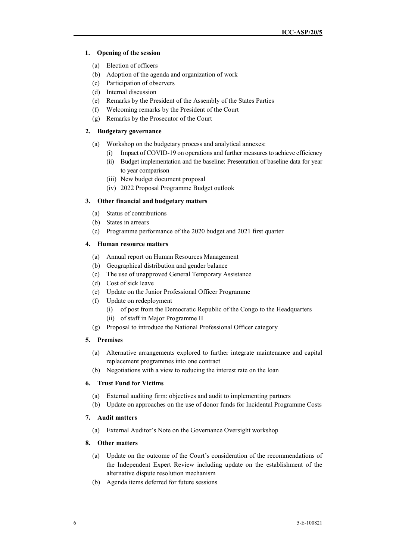## **1. Opening of the session**

- (a) Election of officers
- (b) Adoption of the agenda and organization of work
- (c) Participation of observers
- (d) Internal discussion
- (e) Remarks by the President of the Assembly of the States Parties
- (f) Welcoming remarks by the President of the Court
- (g) Remarks by the Prosecutor of the Court

### **2. Budgetary governance**

- (a) Workshop on the budgetary process and analytical annexes:
	- (i) Impact of COVID-19 on operations and further measures to achieve efficiency
	- (ii) Budget implementation and the baseline: Presentation of baseline data for year to year comparison
	- (iii) New budget document proposal
	- (iv) 2022 Proposal Programme Budget outlook

## **3. Other financial and budgetary matters**

- (a) Status of contributions
- (b) States in arrears
- (c) Programme performance of the 2020 budget and 2021 first quarter

## **4. Human resource matters**

- (a) Annual report on Human Resources Management
- (b) Geographical distribution and gender balance
- (c) The use of unapproved General Temporary Assistance
- (d) Cost of sick leave
- (e) Update on the Junior Professional Officer Programme
- (f) Update on redeployment
	- (i) of post from the Democratic Republic of the Congo to the Headquarters
	- (ii) of staff in Major Programme II
- (g) Proposal to introduce the National Professional Officer category

## **5. Premises**

- (a) Alternative arrangements explored to further integrate maintenance and capital replacement programmes into one contract
- (b) Negotiations with a view to reducing the interest rate on the loan

## **6. Trust Fund for Victims**

- (a) External auditing firm: objectives and audit to implementing partners
- (b) Update on approaches on the use of donor funds for Incidental Programme Costs

## **7. Audit matters**

(a) External Auditor's Note on the Governance Oversight workshop

### **8. Other matters**

- (a) Update on the outcome of the Court's consideration of the recommendations of the Independent Expert Review including update on the establishment of the alternative dispute resolution mechanism
- (b) Agenda items deferred for future sessions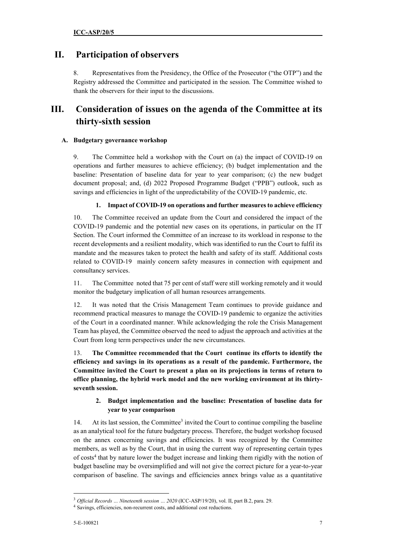## **II. Participation of observers**

8. Representatives from the Presidency, the Office of the Prosecutor ("the OTP") and the Registry addressed the Committee and participated in the session. The Committee wished to thank the observers for their input to the discussions.

# **III. Consideration of issues on the agenda of the Committee at its thirty-sixth session**

## **A. Budgetary governance workshop**

9. The Committee held a workshop with the Court on (a) the impact of COVID-19 on operations and further measures to achieve efficiency; (b) budget implementation and the baseline: Presentation of baseline data for year to year comparison; (c) the new budget document proposal; and, (d) 2022 Proposed Programme Budget ("PPB") outlook, such as savings and efficiencies in light of the unpredictability of the COVID-19 pandemic, etc.

## **1. Impact of COVID-19 on operations and further measures to achieve efficiency**

10. The Committee received an update from the Court and considered the impact of the COVID-19 pandemic and the potential new cases on its operations, in particular on the IT Section. The Court informed the Committee of an increase to its workload in response to the recent developments and a resilient modality, which was identified to run the Court to fulfil its mandate and the measures taken to protect the health and safety of its staff. Additional costs related to COVID-19 mainly concern safety measures in connection with equipment and consultancy services.

11. The Committee noted that 75 per cent of staff were still working remotely and it would monitor the budgetary implication of all human resources arrangements.

12. It was noted that the Crisis Management Team continues to provide guidance and recommend practical measures to manage the COVID-19 pandemic to organize the activities of the Court in a coordinated manner. While acknowledging the role the Crisis Management Team has played, the Committee observed the need to adjust the approach and activities at the Court from long term perspectives under the new circumstances.

13. **The Committee recommended that the Court continue its efforts to identify the efficiency and savings in its operations as a result of the pandemic. Furthermore, the Committee invited the Court to present a plan on its projections in terms of return to office planning, the hybrid work model and the new working environment at its thirtyseventh session.** 

## **2. Budget implementation and the baseline: Presentation of baseline data for year to year comparison**

14. At its last session, the Committee<sup>3</sup> invited the Court to continue compiling the baseline as an analytical tool for the future budgetary process. Therefore, the budget workshop focused on the annex concerning savings and efficiencies. It was recognized by the Committee members, as well as by the Court, that in using the current way of representing certain types of costs<sup>4</sup> that by nature lower the budget increase and linking them rigidly with the notion of budget baseline may be oversimplified and will not give the correct picture for a year-to-year comparison of baseline. The savings and efficiencies annex brings value as a quantitative

<sup>&</sup>lt;sup>3</sup> Official Records ... Nineteenth session ... 2020 (ICC-ASP/19/20), vol. II, part B.2, para. 29.

<sup>4</sup> Savings, efficiencies, non-recurrent costs, and additional cost reductions.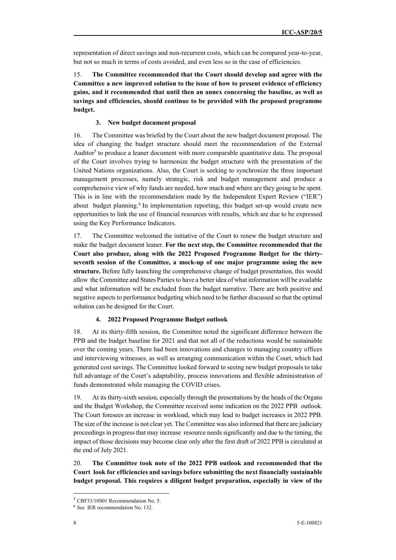representation of direct savings and non-recurrent costs, which can be compared year-to-year, but not so much in terms of costs avoided, and even less so in the case of efficiencies.

15. **The Committee recommended that the Court should develop and agree with the Committee a new improved solution to the issue of how to present evidence of efficiency gains, and it recommended that until then an annex concerning the baseline, as well as savings and efficiencies, should continue to be provided with the proposed programme budget.** 

#### **3. New budget document proposal**

16. The Committee was briefed by the Court about the new budget document proposal. The idea of changing the budget structure should meet the recommendation of the External Auditor<sup>5</sup> to produce a leaner document with more comparable quantitative data. The proposal of the Court involves trying to harmonize the budget structure with the presentation of the United Nations organizations. Also, the Court is seeking to synchronize the three important management processes, namely strategic, risk and budget management and produce a comprehensive view of why funds are needed, how much and where are they going to be spent. This is in line with the recommendation made by the Independent Expert Review ("IER") about budget planning.<sup>6</sup> In implementation reporting, this budget set-up would create new opportunities to link the use of financial resources with results, which are due to be expressed using the Key Performance Indicators.

17. The Committee welcomed the initiative of the Court to renew the budget structure and make the budget document leaner. **For the next step, the Committee recommended that the Court also produce, along with the 2022 Proposed Programme Budget for the thirtyseventh session of the Committee, a mock-up of one major programme using the new structure.** Before fully launching the comprehensive change of budget presentation, this would allow the Committee and States Parties to have a better idea of what information will be available and what information will be excluded from the budget narrative. There are both positive and negative aspects to performance budgeting which need to be further discussed so that the optimal solution can be designed for the Court.

#### **4. 2022 Proposed Programme Budget outlook**

18. At its thirty-fifth session, the Committee noted the significant difference between the PPB and the budget baseline for 2021 and that not all of the reductions would be sustainable over the coming years. There had been innovations and changes to managing country offices and interviewing witnesses, as well as arranging communication within the Court, which had generated cost savings. The Committee looked forward to seeing new budget proposals to take full advantage of the Court's adaptability, process innovations and flexible administration of funds demonstrated while managing the COVID crises.

19. At its thirty-sixth session, especially through the presentations by the heads of the Organs and the Budget Workshop, the Committee received some indication on the 2022 PPB outlook. The Court foresees an increase in workload, which may lead to budget increases in 2022 PPB. The size of the increase is not clear yet. The Committee was also informed that there are judiciary proceedings in progress that may increase resource needs significantly and due to the timing, the impact of those decisions may become clear only after the first draft of 2022 PPB is circulated at the end of July 2021.

20. **The Committee took note of the 2022 PPB outlook and recommended that the Court look for efficiencies and savings before submitting the next financially sustainable budget proposal. This requires a diligent budget preparation, especially in view of the** 

<sup>5</sup> CBF33/10S01 Recommendation No. 5.

<sup>6</sup> See IER recommendation No. 132.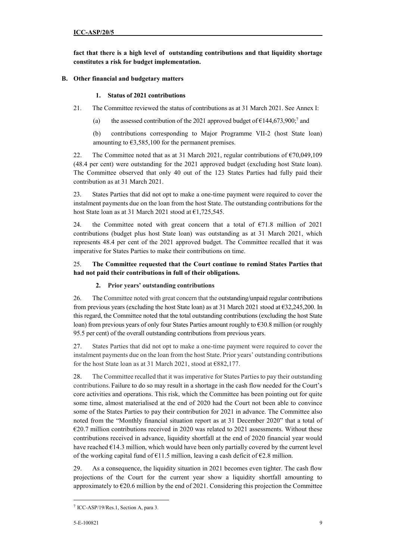**fact that there is a high level of outstanding contributions and that liquidity shortage constitutes a risk for budget implementation.** 

## **B. Other financial and budgetary matters**

## **1. Status of 2021 contributions**

- 21. The Committee reviewed the status of contributions as at 31 March 2021. See Annex I:
	- (a) the assessed contribution of the 2021 approved budget of  $\epsilon$ 144,673,900;<sup>7</sup> and

(b) contributions corresponding to Major Programme VII-2 (host State loan) amounting to  $63,585,100$  for the permanent premises.

22. The Committee noted that as at 31 March 2021, regular contributions of €70,049,109 (48.4 per cent) were outstanding for the 2021 approved budget (excluding host State loan). The Committee observed that only 40 out of the 123 States Parties had fully paid their contribution as at 31 March 2021.

23. States Parties that did not opt to make a one-time payment were required to cover the instalment payments due on the loan from the host State. The outstanding contributions for the host State loan as at 31 March 2021 stood at €1,725,545.

24. the Committee noted with great concern that a total of  $\epsilon$ 71.8 million of 2021 contributions (budget plus host State loan) was outstanding as at 31 March 2021, which represents 48.4 per cent of the 2021 approved budget. The Committee recalled that it was imperative for States Parties to make their contributions on time.

## 25. **The Committee requested that the Court continue to remind States Parties that had not paid their contributions in full of their obligations.**

## **2. Prior years' outstanding contributions**

26. The Committee noted with great concern that the outstanding/unpaid regular contributions from previous years (excluding the host State loan) as at 31 March 2021 stood at  $\epsilon$ 32,245,200. In this regard, the Committee noted that the total outstanding contributions (excluding the host State loan) from previous years of only four States Parties amount roughly to €30.8 million (or roughly 95.5 per cent) of the overall outstanding contributions from previous years.

27. States Parties that did not opt to make a one-time payment were required to cover the instalment payments due on the loan from the host State. Prior years' outstanding contributions for the host State loan as at 31 March 2021, stood at €882,177.

28. The Committee recalled that it was imperative for States Parties to pay their outstanding contributions. Failure to do so may result in a shortage in the cash flow needed for the Court's core activities and operations. This risk, which the Committee has been pointing out for quite some time, almost materialised at the end of 2020 had the Court not been able to convince some of the States Parties to pay their contribution for 2021 in advance. The Committee also noted from the "Monthly financial situation report as at 31 December 2020" that a total of  $E$ 20.7 million contributions received in 2020 was related to 2021 assessments. Without these contributions received in advance, liquidity shortfall at the end of 2020 financial year would have reached  $E14.3$  million, which would have been only partially covered by the current level of the working capital fund of  $\epsilon$ 11.5 million, leaving a cash deficit of  $\epsilon$ 2.8 million.

29. As a consequence, the liquidity situation in 2021 becomes even tighter. The cash flow projections of the Court for the current year show a liquidity shortfall amounting to approximately to  $E$ 620.6 million by the end of 2021. Considering this projection the Committee

<sup>7</sup> ICC-ASP/19/Res.1, Section A, para 3.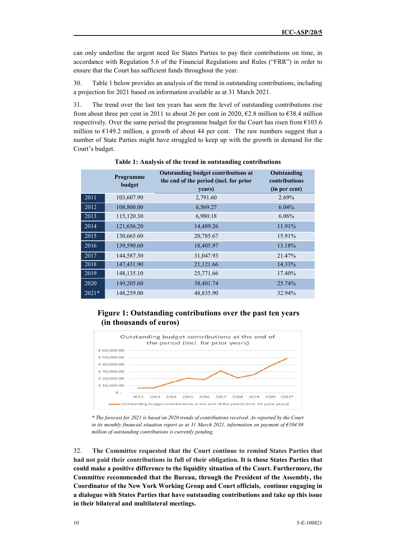can only underline the urgent need for States Parties to pay their contributions on time, in accordance with Regulation 5.6 of the Financial Regulations and Rules ("FRR") in order to ensure that the Court has sufficient funds throughout the year.

30. Table 1 below provides an analysis of the trend in outstanding contributions, including a projection for 2021 based on information available as at 31 March 2021.

31. The trend over the last ten years has seen the level of outstanding contributions rise from about three per cent in 2011 to about 26 per cent in 2020,  $\epsilon$ 2.8 million to  $\epsilon$ 38.4 million respectively. Over the same period the programme budget for the Court has risen from  $E103.6$ million to €149.2 million, a growth of about 44 per cent. The raw numbers suggest that a number of State Parties might have struggled to keep up with the growth in demand for the Court's budget.

|         | Programme<br>budget | Outstanding budget contributions at<br>the end of the period (incl. for prior<br>years) | Outstanding<br>contributions<br>(in per cent) |
|---------|---------------------|-----------------------------------------------------------------------------------------|-----------------------------------------------|
| 2011    | 103,607.90          | 2,791.60                                                                                | 2.69%                                         |
| 2012    | 108,800.00          | 6,569.27                                                                                | 6.04%                                         |
| 2013    | 115,120.30          | 6,980.18                                                                                | 6.06%                                         |
| 2014    | 121,656.20          | 14,489.26                                                                               | 11.91%                                        |
| 2015    | 130,665.60          | 20,785.67                                                                               | 15.91%                                        |
| 2016    | 139,590.60          | 18,405.97                                                                               | 13.18%                                        |
| 2017    | 144,587.30          | 31,047.93                                                                               | 21.47%                                        |
| 2018    | 147,431.90          | 21,121.66                                                                               | 14.33%                                        |
| 2019    | 148, 135. 10        | 25,771.66                                                                               | 17.40%                                        |
| 2020    | 149,205.60          | 38,401.74                                                                               | 25.74%                                        |
| $2021*$ | 148,259.00          | 48,835.90                                                                               | 32.94%                                        |

**Table 1: Analysis of the trend in outstanding contributions**

## **Figure 1: Outstanding contributions over the past ten years (in thousands of euros)**



*\* The forecast for 2021 is based on 2020 trends of contributions received. As reported by the Court in its monthly financial situation report as at 31 March 2021, information on payment of €104.98 million of outstanding contributions is currently pending.* 

32. **The Committee requested that the Court continue to remind States Parties that had not paid their contributions in full of their obligation. It is those States Parties that could make a positive difference to the liquidity situation of the Court. Furthermore, the Committee recommended that the Bureau, through the President of the Assembly, the Coordinator of the New York Working Group and Court officials, continue engaging in a dialogue with States Parties that have outstanding contributions and take up this issue in their bilateral and multilateral meetings.**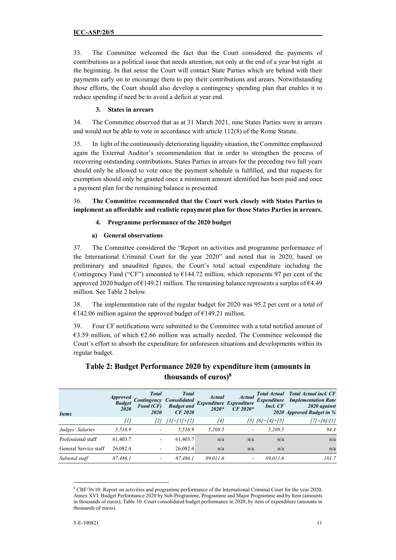33. The Committee welcomed the fact that the Court considered the payments of contributions as a political issue that needs attention, not only at the end of a year but right at the beginning. In that sense the Court will contact State Parties which are behind with their payments early on to encourage them to pay their contributions and arears. Notwithstanding those efforts, the Court should also develop a contingency spending plan that enables it to reduce spending if need be to avoid a deficit at year end.

## **3. States in arrears**

34. The Committee observed that as at 31 March 2021, nine States Parties were in arrears and would not be able to vote in accordance with article 112(8) of the Rome Statute.

35. In light of the continuously deteriorating liquidity situation, the Committee emphasized again the External Auditor's recommendation that in order to strengthen the process of recovering outstanding contributions, States Parties in arrears for the preceding two full years should only be allowed to vote once the payment schedule is fulfilled, and that requests for exemption should only be granted once a minimum amount identified has been paid and once a payment plan for the remaining balance is presented.

36. **The Committee recommended that the Court work closely with States Parties to implement an affordable and realistic repayment plan for those States Parties in arrears.**

## **4. Programme performance of the 2020 budget**

## **a) General observations**

37. The Committee considered the "Report on activities and programme performance of the International Criminal Court for the year 2020" and noted that in 2020, based on preliminary and unaudited figures, the Court's total actual expenditure including the Contingency Fund ("CF") amounted to  $E$ 144.72 million, which represents 97 per cent of the approved 2020 budget of  $\epsilon$ 149.21 million. The remaining balance represents a surplus of  $\epsilon$ 4.49 million. See Table 2 below.

38. The implementation rate of the regular budget for 2020 was 95.2 per cent or a total of  $€142.06$  million against the approved budget of  $€149.21$  million.

39. Four CF notifications were submitted to the Committee with a total notified amount of €3.59 million, of which €2.66 million was actually needed. The Committee welcomed the Court´s effort to absorb the expenditure for unforeseen situations and developments within its regular budget.

| <b>Items</b>          | <i><b>Approved</b></i><br><b>Budget</b><br>2020 | <b>Total</b><br>Fund(CF)<br>2020 | <b>Total</b><br><b>Contingency Consolidated</b><br><b>Budget</b> and<br>CF 2020 | <b>Actual</b><br>Expenditure Expenditure<br>$2020*$ | <b>Actual</b><br>$CF 2020*$ | Incl. CF                | <b>Total Actual</b> Total Actual incl. CF<br><b>Expenditure</b> Implementation Rate<br>2020 against<br>2020 Approved Budget in % |
|-----------------------|-------------------------------------------------|----------------------------------|---------------------------------------------------------------------------------|-----------------------------------------------------|-----------------------------|-------------------------|----------------------------------------------------------------------------------------------------------------------------------|
|                       | [1]                                             | [2]                              | $[3] = [1] + [2]$                                                               | [4]                                                 |                             | $[5]$ $[6] = [4] + [5]$ | $[7] = [6]/[1]$                                                                                                                  |
| Judges' Salaries      | 5,516.9                                         |                                  | 5.516.9                                                                         | 5,208.5                                             |                             | 5.208.5                 | 94.4                                                                                                                             |
| Professional staff    | 61,403.7                                        | ٠                                | 61,403.7                                                                        | n/a                                                 | n/a                         | n/a                     | n/a                                                                                                                              |
| General Service staff | 26,082.4                                        | ۰                                | 26,082.4                                                                        | n/a                                                 | n/a                         | n/a                     | n/a                                                                                                                              |
| Subtotal staff        | 87,486.1                                        |                                  | 87.486.1                                                                        | 89.011.6                                            |                             | 89,011.6                | 101.7                                                                                                                            |

## **Table 2: Budget Performance 2020 by expenditure item (amounts in thousands of euros)<sup>8</sup>**

 $\overline{a}$ 8 CBF/36/10: Report on activities and programme performance of the International Criminal Court for the year 2020, Annex XVI: Budget Performance 2020 by Sub-Programme, Programme and Major Programme and by Item (amounts in thousands of euros), Table 10: Court consolidated budget performance in 2020, by item of expenditure (amounts in thousands of euros).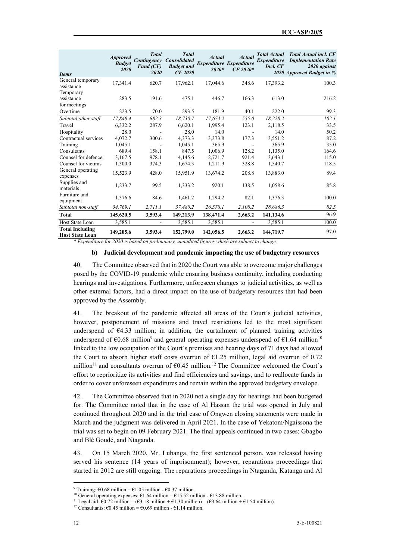| <b>Items</b>                                     | <b>Approved</b><br><b>Budget</b><br>2020 | <b>Total</b><br>Contingency<br><b>Fund (CF)</b><br>2020 | <b>Total</b><br><b>Consolidated</b><br><b>Budget and</b><br><b>CF 2020</b> | <b>Actual</b><br><b>Expenditure Expenditure</b><br>$2020*$ | <b>Actual</b><br>$CF 2020*$ | <b>Total Actual</b><br><i><b>Expenditure</b></i><br>Incl. CF | <b>Total Actual incl. CF</b><br><b>Implementation Rate</b><br>2020 against<br>2020 Approved Budget in % |
|--------------------------------------------------|------------------------------------------|---------------------------------------------------------|----------------------------------------------------------------------------|------------------------------------------------------------|-----------------------------|--------------------------------------------------------------|---------------------------------------------------------------------------------------------------------|
| General temporary<br>assistance                  | 17,341.4                                 | 620.7                                                   | 17,962.1                                                                   | 17,044.6                                                   | 348.6                       | 17,393.2                                                     | 100.3                                                                                                   |
| Temporary<br>assistance<br>for meetings          | 283.5                                    | 191.6                                                   | 475.1                                                                      | 446.7                                                      | 166.3                       | 613.0                                                        | 216.2                                                                                                   |
| Overtime                                         | 223.5                                    | 70.0                                                    | 293.5                                                                      | 181.9                                                      | 40.1                        | 222.0                                                        | 99.3                                                                                                    |
| Subtotal other staff                             | 17,848.4                                 | 882.3                                                   | 18,730.7                                                                   | 17,673.2                                                   | 555.0                       | 18,228.2                                                     | 102.1                                                                                                   |
| Travel                                           | 6,332.2                                  | 287.9                                                   | 6,620.1                                                                    | 1.995.4                                                    | 123.1                       | 2,118.5                                                      | 33.5                                                                                                    |
| Hospitality                                      | 28.0                                     |                                                         | 28.0                                                                       | 14.0                                                       |                             | 14.0                                                         | 50.2                                                                                                    |
| Contractual services                             | 4,072.7                                  | 300.6                                                   | 4,373.3                                                                    | 3,373.8                                                    | 177.3                       | 3,551.2                                                      | 87.2                                                                                                    |
| Training                                         | 1.045.1                                  |                                                         | 1.045.1                                                                    | 365.9                                                      |                             | 365.9                                                        | 35.0                                                                                                    |
| Consultants                                      | 689.4                                    | 158.1                                                   | 847.5                                                                      | 1,006.9                                                    | 128.2                       | 1,135.0                                                      | 164.6                                                                                                   |
| Counsel for defence                              | 3,167.5                                  | 978.1                                                   | 4,145.6                                                                    | 2,721.7                                                    | 921.4                       | 3,643.1                                                      | 115.0                                                                                                   |
| Counsel for victims                              | 1,300.0                                  | 374.3                                                   | 1,674.3                                                                    | 1,211.9                                                    | 328.8                       | 1,540.7                                                      | 118.5                                                                                                   |
| General operating<br>expenses                    | 15,523.9                                 | 428.0                                                   | 15,951.9                                                                   | 13,674.2                                                   | 208.8                       | 13,883.0                                                     | 89.4                                                                                                    |
| Supplies and<br>materials                        | 1,233.7                                  | 99.5                                                    | 1,333.2                                                                    | 920.1                                                      | 138.5                       | 1,058.6                                                      | 85.8                                                                                                    |
| Furniture and<br>equipment                       | 1,376.6                                  | 84.6                                                    | 1.461.2                                                                    | 1,294.2                                                    | 82.1                        | 1,376.3                                                      | 100.0                                                                                                   |
| Subtotal non-staff                               | 34,769.1                                 | 2,711.1                                                 | 37,480.2                                                                   | 26,578.1                                                   | 2,108.2                     | 28,686.3                                                     | 82.5                                                                                                    |
| Total                                            | 145,620.5                                | 3,593.4                                                 | 149,213.9                                                                  | 138,471.4                                                  | 2,663.2                     | 141,134.6                                                    | 96.9                                                                                                    |
| Host State Loan                                  | 3,585.1                                  |                                                         | 3,585.1                                                                    | 3,585.1                                                    |                             | 3,585.1                                                      | 100.0                                                                                                   |
| <b>Total Including</b><br><b>Host State Loan</b> | 149,205.6                                | 3,593.4                                                 | 152,799.0                                                                  | 142,056.5                                                  | 2,663.2                     | 144,719.7                                                    | 97.0                                                                                                    |

*\* Expenditure for 2020 is based on preliminary, unaudited figures which are subject to change.*

#### **b) Judicial development and pandemic impacting the use of budgetary resources**

40. The Committee observed that in 2020 the Court was able to overcome major challenges posed by the COVID-19 pandemic while ensuring business continuity, including conducting hearings and investigations. Furthermore, unforeseen changes to judicial activities, as well as other external factors, had a direct impact on the use of budgetary resources that had been approved by the Assembly.

41. The breakout of the pandemic affected all areas of the Court´s judicial activities, however, postponement of missions and travel restrictions led to the most significant underspend of €4.33 million; in addition, the curtailment of planned training activities underspend of  $\epsilon$ 0.68 million<sup>9</sup> and general operating expenses underspend of  $\epsilon$ 1.64 million<sup>10</sup> linked to the low occupation of the Court´s premises and hearing days of 71 days had allowed the Court to absorb higher staff costs overrun of  $E1.25$  million, legal aid overrun of 0.72 million<sup>11</sup> and consultants overrun of  $60.45$  million.<sup>12</sup> The Committee welcomed the Court's effort to reprioritize its activities and find efficiencies and savings, and to reallocate funds in order to cover unforeseen expenditures and remain within the approved budgetary envelope.

42. The Committee observed that in 2020 not a single day for hearings had been budgeted for. The Committee noted that in the case of Al Hassan the trial was opened in July and continued throughout 2020 and in the trial case of Ongwen closing statements were made in March and the judgment was delivered in April 2021. In the case of Yekatom/Ngaissona the trial was set to begin on 09 February 2021. The final appeals continued in two cases: Gbagbo and Blé Goudé, and Ntaganda.

43. On 15 March 2020, Mr. Lubanga, the first sentenced person, was released having served his sentence (14 years of imprisonment); however, reparations proceedings that started in 2012 are still ongoing. The reparations proceedings in Ntaganda, Katanga and Al

<sup>&</sup>lt;sup>9</sup> Training: €0.68 million = €1.05 million - €0.37 million.

<sup>&</sup>lt;sup>10</sup> General operating expenses:  $\epsilon$ 1.64 million =  $\epsilon$ 15.52 million -  $\epsilon$ 13.88 million.

<sup>&</sup>lt;sup>11</sup> Legal aid:  $\epsilon$ 0.72 million =  $(\epsilon$ 3.18 million +  $\epsilon$ 1.30 million) –  $(\epsilon$ 3.64 million +  $\epsilon$ 1.54 million).

<sup>&</sup>lt;sup>12</sup> Consultants:  $\epsilon$ 0.45 million =  $\epsilon$ 0.69 million -  $\epsilon$ 1.14 million.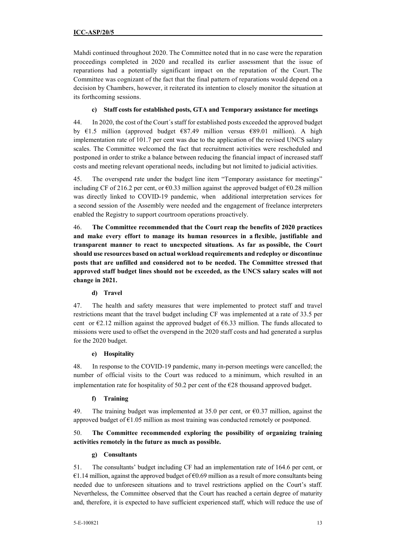Mahdi continued throughout 2020. The Committee noted that in no case were the reparation proceedings completed in 2020 and recalled its earlier assessment that the issue of reparations had a potentially significant impact on the reputation of the Court. The Committee was cognizant of the fact that the final pattern of reparations would depend on a decision by Chambers, however, it reiterated its intention to closely monitor the situation at its forthcoming sessions.

## **c) Staff costs for established posts, GTA and Temporary assistance for meetings**

44. In 2020, the cost of the Court´s staff for established posts exceeded the approved budget by  $\epsilon$ 1.5 million (approved budget  $\epsilon$ 87.49 million versus  $\epsilon$ 89.01 million). A high implementation rate of 101.7 per cent was due to the application of the revised UNCS salary scales. The Committee welcomed the fact that recruitment activities were rescheduled and postponed in order to strike a balance between reducing the financial impact of increased staff costs and meeting relevant operational needs, including but not limited to judicial activities.

45. The overspend rate under the budget line item "Temporary assistance for meetings" including CF of 216.2 per cent, or  $\epsilon$ 0.33 million against the approved budget of  $\epsilon$ 0.28 million was directly linked to COVID-19 pandemic, when additional interpretation services for a second session of the Assembly were needed and the engagement of freelance interpreters enabled the Registry to support courtroom operations proactively.

46. **The Committee recommended that the Court reap the benefits of 2020 practices and make every effort to manage its human resources in a flexible, justifiable and transparent manner to react to unexpected situations. As far as possible, the Court should use resources based on actual workload requirements and redeploy or discontinue posts that are unfilled and considered not to be needed. The Committee stressed that approved staff budget lines should not be exceeded, as the UNCS salary scales will not change in 2021.**

## **d) Travel**

47. The health and safety measures that were implemented to protect staff and travel restrictions meant that the travel budget including CF was implemented at a rate of 33.5 per cent or  $E$ 2.12 million against the approved budget of  $E$ 6.33 million. The funds allocated to missions were used to offset the overspend in the 2020 staff costs and had generated a surplus for the 2020 budget.

## **e) Hospitality**

48. In response to the COVID-19 pandemic, many in-person meetings were cancelled; the number of official visits to the Court was reduced to a minimum, which resulted in an implementation rate for hospitality of 50.2 per cent of the €28 thousand approved budget.

## **f) Training**

49. The training budget was implemented at 35.0 per cent, or  $\epsilon$ 0.37 million, against the approved budget of  $\epsilon$ 1.05 million as most training was conducted remotely or postponed.

## 50. **The Committee recommended exploring the possibility of organizing training activities remotely in the future as much as possible.**

## **g) Consultants**

51. The consultants' budget including CF had an implementation rate of 164.6 per cent, or  $€1.14$  million, against the approved budget of  $€0.69$  million as a result of more consultants being needed due to unforeseen situations and to travel restrictions applied on the Court's staff. Nevertheless, the Committee observed that the Court has reached a certain degree of maturity and, therefore, it is expected to have sufficient experienced staff, which will reduce the use of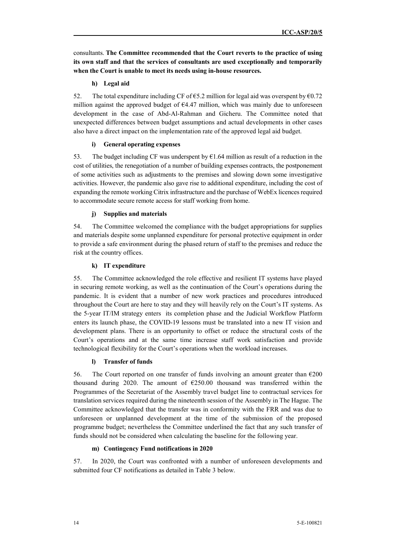consultants. **The Committee recommended that the Court reverts to the practice of using its own staff and that the services of consultants are used exceptionally and temporarily when the Court is unable to meet its needs using in-house resources.**

#### **h) Legal aid**

52. The total expenditure including CF of  $65.2$  million for legal aid was overspent by  $60.72$ million against the approved budget of  $64.47$  million, which was mainly due to unforeseen development in the case of Abd-Al-Rahman and Gicheru. The Committee noted that unexpected differences between budget assumptions and actual developments in other cases also have a direct impact on the implementation rate of the approved legal aid budget.

#### **i) General operating expenses**

53. The budget including CF was underspent by  $61.64$  million as result of a reduction in the cost of utilities, the renegotiation of a number of building expenses contracts, the postponement of some activities such as adjustments to the premises and slowing down some investigative activities. However, the pandemic also gave rise to additional expenditure, including the cost of expanding the remote working Citrix infrastructure and the purchase of WebEx licences required to accommodate secure remote access for staff working from home.

#### **j) Supplies and materials**

54. The Committee welcomed the compliance with the budget appropriations for supplies and materials despite some unplanned expenditure for personal protective equipment in order to provide a safe environment during the phased return of staff to the premises and reduce the risk at the country offices.

#### **k) IT expenditure**

55. The Committee acknowledged the role effective and resilient IT systems have played in securing remote working, as well as the continuation of the Court's operations during the pandemic. It is evident that a number of new work practices and procedures introduced throughout the Court are here to stay and they will heavily rely on the Court's IT systems. As the 5-year IT/IM strategy enters its completion phase and the Judicial Workflow Platform enters its launch phase, the COVID-19 lessons must be translated into a new IT vision and development plans. There is an opportunity to offset or reduce the structural costs of the Court's operations and at the same time increase staff work satisfaction and provide technological flexibility for the Court's operations when the workload increases.

## **l) Transfer of funds**

56. The Court reported on one transfer of funds involving an amount greater than  $\epsilon$ 200 thousand during 2020. The amount of  $E$ 250.00 thousand was transferred within the Programmes of the Secretariat of the Assembly travel budget line to contractual services for translation services required during the nineteenth session of the Assembly in The Hague. The Committee acknowledged that the transfer was in conformity with the FRR and was due to unforeseen or unplanned development at the time of the submission of the proposed programme budget; nevertheless the Committee underlined the fact that any such transfer of funds should not be considered when calculating the baseline for the following year.

#### **m) Contingency Fund notifications in 2020**

57. In 2020, the Court was confronted with a number of unforeseen developments and submitted four CF notifications as detailed in Table 3 below.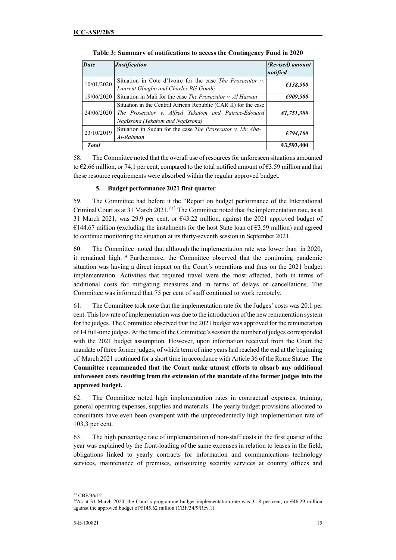| <b>Date</b>  | <b>Justification</b>                                                                                                                                         | (Revised) amount<br>notified |
|--------------|--------------------------------------------------------------------------------------------------------------------------------------------------------------|------------------------------|
| 10/01/2020   | Situation in Cote d'Ivoire for the case The Prosecutor v.<br>Laurent Gbagbo and Charles Blé Goudé                                                            | £138,500                     |
| 19/06/2020   | Situation in Mali for the case <i>The Prosecutor v. Al Hassan</i>                                                                                            | E909,500                     |
| 24/06/2020   | Situation in the Central African Republic (CAR II) for the case<br>The Prosecutor v. Alfred Yekatom and Patrice-Edouard<br>Ngaïssona (Yekatom and Ngaïssona) | £1,751,300                   |
| 23/10/2019   | Situation in Sudan for the case <i>The Prosecutor v. Mr Abd-</i><br>Al-Rahman                                                                                | £794,100                     |
| <b>Total</b> |                                                                                                                                                              | 63,593,400                   |

**Table 3: Summary of notifications to access the Contingency Fund in 2020**

58. The Committee noted that the overall use of resources for unforeseen situations amounted to  $\epsilon$ 2.66 million, or 74.1 per cent, compared to the total notified amount of  $\epsilon$ 3.59 million and that these resource requirements were absorbed within the regular approved budget.

## **5. Budget performance 2021 first quarter**

59. The Committee had before it the "Report on budget performance of the International Criminal Court as at 31 March 2021."<sup>13</sup> The Committee noted that the implementation rate, as at 31 March 2021, was 29.9 per cent, or €43.22 million, against the 2021 approved budget of  $€144.67$  million (excluding the instalments for the host State loan of  $€3.59$  million) and agreed to continue monitoring the situation at its thirty-seventh session in September 2021.

60. The Committee noted that although the implementation rate was lower than in 2020, it remained high. <sup>14</sup> Furthermore, the Committee observed that the continuing pandemic situation was having a direct impact on the Court´s operations and thus on the 2021 budget implementation. Activities that required travel were the most affected, both in terms of additional costs for mitigating measures and in terms of delays or cancellations. The Committee was informed that 75 per cent of staff continued to work remotely.

61. The Committee took note that the implementation rate for the Judges' costs was 20.1 per cent. This low rate of implementation was due to the introduction of the new remuneration system for the judges. The Committee observed that the 2021 budget was approved for the remuneration of 14 full-time judges. At the time of the Committee's session the number of judges corresponded with the 2021 budget assumption. However, upon information received from the Court the mandate of three former judges, of which term of nine years had reached the end at the beginning of March 2021 continued for a short time in accordance with Article 36 of the Rome Statue. **The Committee recommended that the Court make utmost efforts to absorb any additional unforeseen costs resulting from the extension of the mandate of the former judges into the approved budget.**

62. The Committee noted high implementation rates in contractual expenses, training, general operating expenses, supplies and materials. The yearly budget provisions allocated to consultants have even been overspent with the unprecedentedly high implementation rate of 103.3 per cent.

63. The high percentage rate of implementation of non-staff costs in the first quarter of the year was explained by the front-loading of the same expenses in relation to leases in the field, obligations linked to yearly contracts for information and communications technology services, maintenance of premises, outsourcing security services at country offices and

 $\overline{a}$ <sup>13</sup> CBF/36/12.

<sup>&</sup>lt;sup>14</sup>As at 31 March 2020, the Court's programme budget implementation rate was 31.8 per cent, or €46.29 million against the approved budget of  $\epsilon$ 145.62 million (CBF/34/9/Rev.1).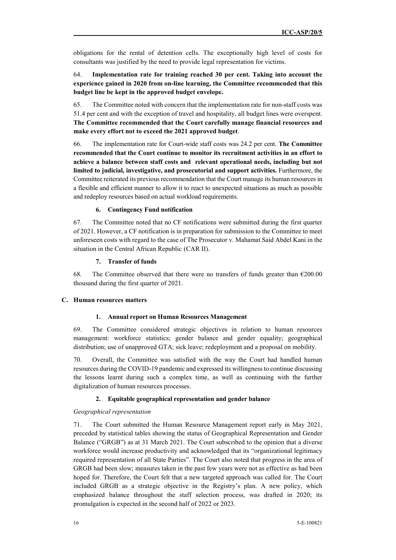obligations for the rental of detention cells. The exceptionally high level of costs for consultants was justified by the need to provide legal representation for victims.

## 64. **Implementation rate for training reached 30 per cent. Taking into account the experience gained in 2020 from on-line learning, the Committee recommended that this budget line be kept in the approved budget envelope.**

65. The Committee noted with concern that the implementation rate for non-staff costs was 51.4 per cent and with the exception of travel and hospitality, all budget lines were overspent. **The Committee recommended that the Court carefully manage financial resources and make every effort not to exceed the 2021 approved budget**.

66. The implementation rate for Court-wide staff costs was 24.2 per cent. **The Committee recommended that the Court continue to monitor its recruitment activities in an effort to achieve a balance between staff costs and relevant operational needs, including but not limited to judicial, investigative, and prosecutorial and support activities.** Furthermore, the Committee reiterated its previous recommendation that the Court manage its human resources in a flexible and efficient manner to allow it to react to unexpected situations as much as possible and redeploy resources based on actual workload requirements.

#### **6. Contingency Fund notification**

67. The Committee noted that no CF notifications were submitted during the first quarter of 2021. However, a CF notification is in preparation for submission to the Committee to meet unforeseen costs with regard to the case of The Prosecutor v. Mahamat Said Abdel Kani in the situation in the Central African Republic (CAR II).

## **7. Transfer of funds**

68. The Committee observed that there were no transfers of funds greater than  $\epsilon$ 200.00 thousand during the first quarter of 2021.

#### **C. Human resources matters**

#### **1. Annual report on Human Resources Management**

69. The Committee considered strategic objectives in relation to human resources management: workforce statistics; gender balance and gender equality; geographical distribution; use of unapproved GTA; sick leave; redeployment and a proposal on mobility.

70. Overall, the Committee was satisfied with the way the Court had handled human resources during the COVID-19 pandemic and expressed its willingness to continue discussing the lessons learnt during such a complex time, as well as continuing with the further digitalization of human resources processes.

#### **2. Equitable geographical representation and gender balance**

#### *Geographical representation*

71. The Court submitted the Human Resource Management report early in May 2021, preceded by statistical tables showing the status of Geographical Representation and Gender Balance ("GRGB") as at 31 March 2021. The Court subscribed to the opinion that a diverse workforce would increase productivity and acknowledged that its "organizational legitimacy required representation of all State Parties". The Court also noted that progress in the area of GRGB had been slow; measures taken in the past few years were not as effective as had been hoped for. Therefore, the Court felt that a new targeted approach was called for. The Court included GRGB as a strategic objective in the Registry's plan. A new policy, which emphasized balance throughout the staff selection process, was drafted in 2020; its promulgation is expected in the second half of 2022 or 2023.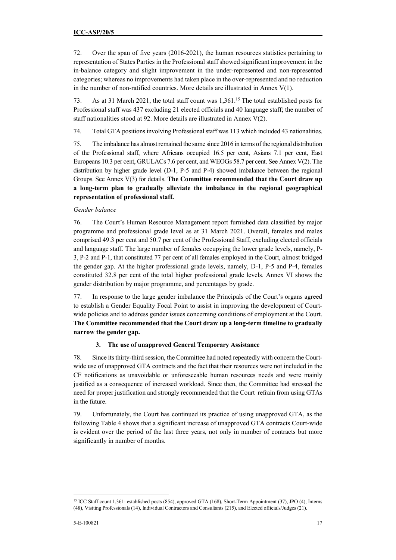72. Over the span of five years (2016-2021), the human resources statistics pertaining to representation of States Parties in the Professional staff showed significant improvement in the in-balance category and slight improvement in the under-represented and non-represented categories; whereas no improvements had taken place in the over-represented and no reduction in the number of non-ratified countries. More details are illustrated in Annex  $V(1)$ .

73. As at 31 March 2021, the total staff count was 1,361.<sup>15</sup> The total established posts for Professional staff was 437 excluding 21 elected officials and 40 language staff; the number of staff nationalities stood at 92. More details are illustrated in Annex V(2).

74. Total GTA positions involving Professional staff was 113 which included 43 nationalities.

75. The imbalance has almost remained the same since 2016 in terms of the regional distribution of the Professional staff, where Africans occupied 16.5 per cent, Asians 7.1 per cent, East Europeans 10.3 per cent, GRULACs 7.6 per cent, and WEOGs 58.7 per cent. See Annex V(2). The distribution by higher grade level (D-1, P-5 and P-4) showed imbalance between the regional Groups. See Annex V(3) for details. **The Committee recommended that the Court draw up a long-term plan to gradually alleviate the imbalance in the regional geographical representation of professional staff.**

## *Gender balance*

76. The Court's Human Resource Management report furnished data classified by major programme and professional grade level as at 31 March 2021. Overall, females and males comprised 49.3 per cent and 50.7 per cent of the Professional Staff, excluding elected officials and language staff. The large number of females occupying the lower grade levels, namely, P-3, P-2 and P-1, that constituted 77 per cent of all females employed in the Court, almost bridged the gender gap. At the higher professional grade levels, namely, D-1, P-5 and P-4, females constituted 32.8 per cent of the total higher professional grade levels. Annex VI shows the gender distribution by major programme, and percentages by grade.

77. In response to the large gender imbalance the Principals of the Court's organs agreed to establish a Gender Equality Focal Point to assist in improving the development of Courtwide policies and to address gender issues concerning conditions of employment at the Court. **The Committee recommended that the Court draw up a long-term timeline to gradually narrow the gender gap.**

## **3. The use of unapproved General Temporary Assistance**

78. Since its thirty-third session, the Committee had noted repeatedly with concern the Courtwide use of unapproved GTA contracts and the fact that their resources were not included in the CF notifications as unavoidable or unforeseeable human resources needs and were mainly justified as a consequence of increased workload. Since then, the Committee had stressed the need for proper justification and strongly recommended that the Court refrain from using GTAs in the future.

79. Unfortunately, the Court has continued its practice of using unapproved GTA, as the following Table 4 shows that a significant increase of unapproved GTA contracts Court-wide is evident over the period of the last three years, not only in number of contracts but more significantly in number of months.

 $\overline{a}$ <sup>15</sup> ICC Staff count 1,361: established posts (854), approved GTA (168), Short-Term Appointment (37), JPO (4), Interns (48), Visiting Professionals (14), Individual Contractors and Consultants (215), and Elected officials/Judges (21).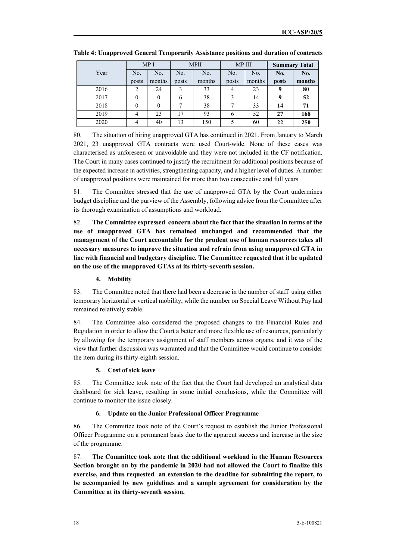|      | MP I  |          | <b>MPII</b> |        | MP III |        | <b>Summary Total</b> |        |
|------|-------|----------|-------------|--------|--------|--------|----------------------|--------|
| Year | No.   | No.      | No.         | No.    | No.    | No.    | No.                  | No.    |
|      | posts | months   | posts       | months | posts  | months | posts                | months |
| 2016 | 2     | 24       | 3           | 33     | 4      | 23     | 9                    | 80     |
| 2017 | 0     | $\theta$ | 6           | 38     | 3      | 14     | 9                    | 52     |
| 2018 | 0     | $\theta$ | ⇁           | 38     | ⇁      | 33     | 14                   | 71     |
| 2019 | 4     | 23       | 17          | 93     | 6      | 52     | 27                   | 168    |
| 2020 | 4     | 40       | 13          | 150    | 5      | 60     | 22                   | 250    |

**Table 4: Unapproved General Temporarily Assistance positions and duration of contracts** 

80. The situation of hiring unapproved GTA has continued in 2021. From January to March 2021, 23 unapproved GTA contracts were used Court-wide. None of these cases was characterised as unforeseen or unavoidable and they were not included in the CF notification. The Court in many cases continued to justify the recruitment for additional positions because of the expected increase in activities, strengthening capacity, and a higher level of duties. A number of unapproved positions were maintained for more than two consecutive and full years.

81. The Committee stressed that the use of unapproved GTA by the Court undermines budget discipline and the purview of the Assembly, following advice from the Committee after its thorough examination of assumptions and workload.

82. **The Committee expressed concern about the fact that the situation in terms of the use of unapproved GTA has remained unchanged and recommended that the management of the Court accountable for the prudent use of human resources takes all necessary measures to improve the situation and refrain from using unapproved GTA in line with financial and budgetary discipline. The Committee requested that it be updated on the use of the unapproved GTAs at its thirty-seventh session.** 

#### **4. Mobility**

83. The Committee noted that there had been a decrease in the number of staff using either temporary horizontal or vertical mobility, while the number on Special Leave Without Pay had remained relatively stable.

84. The Committee also considered the proposed changes to the Financial Rules and Regulation in order to allow the Court a better and more flexible use of resources, particularly by allowing for the temporary assignment of staff members across organs, and it was of the view that further discussion was warranted and that the Committee would continue to consider the item during its thirty-eighth session.

#### **5. Cost of sick leave**

85. The Committee took note of the fact that the Court had developed an analytical data dashboard for sick leave, resulting in some initial conclusions, while the Committee will continue to monitor the issue closely.

#### **6. Update on the Junior Professional Officer Programme**

86. The Committee took note of the Court's request to establish the Junior Professional Officer Programme on a permanent basis due to the apparent success and increase in the size of the programme.

87. **The Committee took note that the additional workload in the Human Resources Section brought on by the pandemic in 2020 had not allowed the Court to finalize this exercise, and thus requested an extension to the deadline for submitting the report, to be accompanied by new guidelines and a sample agreement for consideration by the Committee at its thirty-seventh session.**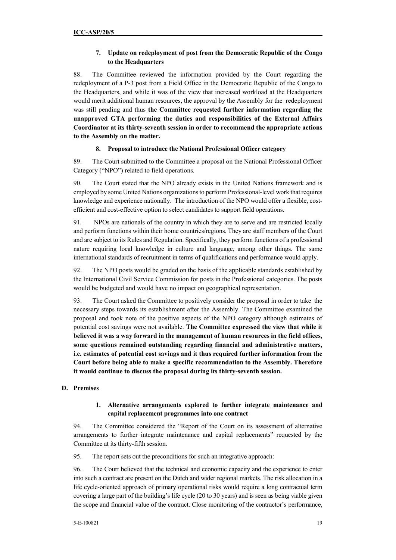## **7. Update on redeployment of post from the Democratic Republic of the Congo to the Headquarters**

88. The Committee reviewed the information provided by the Court regarding the redeployment of a P-3 post from a Field Office in the Democratic Republic of the Congo to the Headquarters, and while it was of the view that increased workload at the Headquarters would merit additional human resources, the approval by the Assembly for the redeployment was still pending and thus **the Committee requested further information regarding the unapproved GTA performing the duties and responsibilities of the External Affairs Coordinator at its thirty-seventh session in order to recommend the appropriate actions to the Assembly on the matter.** 

## **8. Proposal to introduce the National Professional Officer category**

89. The Court submitted to the Committee a proposal on the National Professional Officer Category ("NPO") related to field operations.

90. The Court stated that the NPO already exists in the United Nations framework and is employed by some United Nations organizations to perform Professional-level work that requires knowledge and experience nationally. The introduction of the NPO would offer a flexible, costefficient and cost-effective option to select candidates to support field operations.

91. NPOs are nationals of the country in which they are to serve and are restricted locally and perform functions within their home countries/regions. They are staff members of the Court and are subject to its Rules and Regulation. Specifically, they perform functions of a professional nature requiring local knowledge in culture and language, among other things. The same international standards of recruitment in terms of qualifications and performance would apply.

92. The NPO posts would be graded on the basis of the applicable standards established by the International Civil Service Commission for posts in the Professional categories. The posts would be budgeted and would have no impact on geographical representation.

93. The Court asked the Committee to positively consider the proposal in order to take the necessary steps towards its establishment after the Assembly. The Committee examined the proposal and took note of the positive aspects of the NPO category although estimates of potential cost savings were not available. **The Committee expressed the view that while it believed it was a way forward in the management of human resources in the field offices, some questions remained outstanding regarding financial and administrative matters, i.e. estimates of potential cost savings and it thus required further information from the Court before being able to make a specific recommendation to the Assembly. Therefore it would continue to discuss the proposal during its thirty-seventh session.** 

## **D. Premises**

## **1. Alternative arrangements explored to further integrate maintenance and capital replacement programmes into one contract**

94. The Committee considered the "Report of the Court on its assessment of alternative arrangements to further integrate maintenance and capital replacements" requested by the Committee at its thirty-fifth session.

95. The report sets out the preconditions for such an integrative approach:

96. The Court believed that the technical and economic capacity and the experience to enter into such a contract are present on the Dutch and wider regional markets. The risk allocation in a life cycle-oriented approach of primary operational risks would require a long contractual term covering a large part of the building's life cycle (20 to 30 years) and is seen as being viable given the scope and financial value of the contract. Close monitoring of the contractor's performance,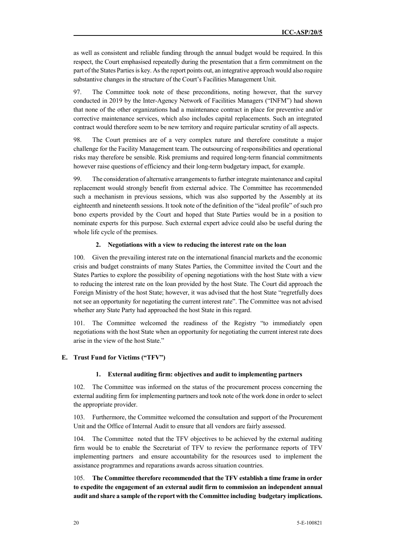as well as consistent and reliable funding through the annual budget would be required. In this respect, the Court emphasised repeatedly during the presentation that a firm commitment on the part of the States Parties is key. As the report points out, an integrative approach would also require substantive changes in the structure of the Court's Facilities Management Unit.

97. The Committee took note of these preconditions, noting however, that the survey conducted in 2019 by the Inter-Agency Network of Facilities Managers ("INFM") had shown that none of the other organizations had a maintenance contract in place for preventive and/or corrective maintenance services, which also includes capital replacements. Such an integrated contract would therefore seem to be new territory and require particular scrutiny of all aspects.

98. The Court premises are of a very complex nature and therefore constitute a major challenge for the Facility Management team. The outsourcing of responsibilities and operational risks may therefore be sensible. Risk premiums and required long-term financial commitments however raise questions of efficiency and their long-term budgetary impact, for example.

99. The consideration of alternative arrangements to further integrate maintenance and capital replacement would strongly benefit from external advice. The Committee has recommended such a mechanism in previous sessions, which was also supported by the Assembly at its eighteenth and nineteenth sessions. It took note of the definition of the "ideal profile" of such pro bono experts provided by the Court and hoped that State Parties would be in a position to nominate experts for this purpose. Such external expert advice could also be useful during the whole life cycle of the premises.

#### **2. Negotiations with a view to reducing the interest rate on the loan**

100. Given the prevailing interest rate on the international financial markets and the economic crisis and budget constraints of many States Parties, the Committee invited the Court and the States Parties to explore the possibility of opening negotiations with the host State with a view to reducing the interest rate on the loan provided by the host State. The Court did approach the Foreign Ministry of the host State; however, it was advised that the host State "regretfully does not see an opportunity for negotiating the current interest rate". The Committee was not advised whether any State Party had approached the host State in this regard.

101. The Committee welcomed the readiness of the Registry "to immediately open negotiations with the host State when an opportunity for negotiating the current interest rate does arise in the view of the host State."

#### **E. Trust Fund for Victims ("TFV")**

#### **1. External auditing firm: objectives and audit to implementing partners**

102. The Committee was informed on the status of the procurement process concerning the external auditing firm for implementing partners and took note of the work done in order to select the appropriate provider.

103. Furthermore, the Committee welcomed the consultation and support of the Procurement Unit and the Office of Internal Audit to ensure that all vendors are fairly assessed.

104. The Committee noted that the TFV objectives to be achieved by the external auditing firm would be to enable the Secretariat of TFV to review the performance reports of TFV implementing partners and ensure accountability for the resources used to implement the assistance programmes and reparations awards across situation countries.

105. **The Committee therefore recommended that the TFV establish a time frame in order to expedite the engagement of an external audit firm to commission an independent annual audit and share a sample of the report with the Committee including budgetary implications.**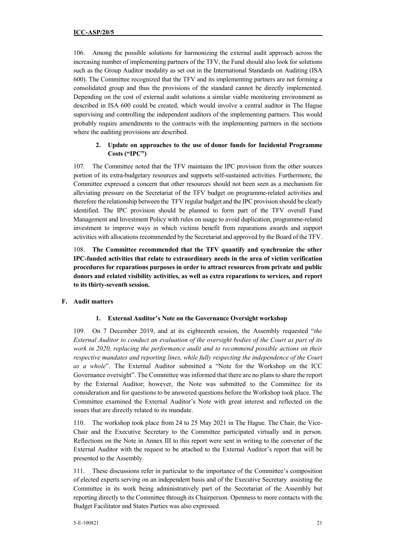106. Among the possible solutions for harmonizing the external audit approach across the increasing number of implementing partners of the TFV, the Fund should also look for solutions such as the Group Auditor modality as set out in the International Standards on Auditing (ISA 600). The Committee recognized that the TFV and its implementing partners are not forming a consolidated group and thus the provisions of the standard cannot be directly implemented. Depending on the cost of external audit solutions a similar viable monitoring environment as described in ISA 600 could be created, which would involve a central auditor in The Hague supervising and controlling the independent auditors of the implementing partners. This would probably require amendments to the contracts with the implementing partners in the sections where the auditing provisions are described.

## **2. Update on approaches to the use of donor funds for Incidental Programme Costs ("IPC")**

107. The Committee noted that the TFV maintains the IPC provision from the other sources portion of its extra-budgetary resources and supports self-sustained activities. Furthermore, the Committee expressed a concern that other resources should not been seen as a mechanism for alleviating pressure on the Secretariat of the TFV budget on programme-related activities and therefore the relationship between the TFV regular budget and the IPC provision should be clearly identified. The IPC provision should be planned to form part of the TFV overall Fund Management and Investment Policy with rules on usage to avoid duplication, programme-related investment to improve ways in which victims benefit from reparations awards and support activities with allocations recommended by the Secretariat and approved by the Board of the TFV.

108. **The Committee recommended that the TFV quantify and synchronize the other IPC-funded activities that relate to extraordinary needs in the area of victim verification procedures for reparations purposes in order to attract resources from private and public donors and related visibility activities, as well as extra reparations to services, and report to its thirty-seventh session.** 

## **F. Audit matters**

## **1. External Auditor's Note on the Governance Oversight workshop**

109. On 7 December 2019, and at its eighteenth session, the Assembly requested "*the External Auditor to conduct an evaluation of the oversight bodies of the Court as part of its work in 2020, replacing the performance audit and to recommend possible actions on their respective mandates and reporting lines, while fully respecting the independence of the Court as a whole*". The External Auditor submitted a "Note for the Workshop on the ICC Governance oversight". The Committee was informed that there are no plans to share the report by the External Auditor; however, the Note was submitted to the Committee for its consideration and for questions to be answered questions before the Workshop took place. The Committee examined the External Auditor's Note with great interest and reflected on the issues that are directly related to its mandate.

110. The workshop took place from 24 to 25 May 2021 in The Hague. The Chair, the Vice-Chair and the Executive Secretary to the Committee participated virtually and in person. Reflections on the Note in Annex III to this report were sent in writing to the convener of the External Auditor with the request to be attached to the External Auditor's report that will be presented to the Assembly.

111. These discussions refer in particular to the importance of the Committee's composition of elected experts serving on an independent basis and of the Executive Secretary assisting the Committee in its work being administratively part of the Secretariat of the Assembly but reporting directly to the Committee through its Chairperson. Openness to more contacts with the Budget Facilitator and States Parties was also expressed.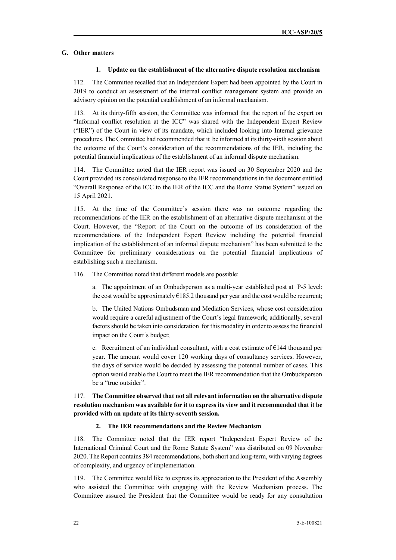## **G. Other matters**

#### **1. Update on the establishment of the alternative dispute resolution mechanism**

112. The Committee recalled that an Independent Expert had been appointed by the Court in 2019 to conduct an assessment of the internal conflict management system and provide an advisory opinion on the potential establishment of an informal mechanism.

113. At its thirty-fifth session, the Committee was informed that the report of the expert on "Informal conflict resolution at the ICC" was shared with the Independent Expert Review ("IER") of the Court in view of its mandate, which included looking into Internal grievance procedures. The Committee had recommended that it be informed at its thirty-sixth session about the outcome of the Court's consideration of the recommendations of the IER, including the potential financial implications of the establishment of an informal dispute mechanism.

114. The Committee noted that the IER report was issued on 30 September 2020 and the Court provided its consolidated response to the IER recommendations in the document entitled "Overall Response of the ICC to the IER of the ICC and the Rome Statue System" issued on 15 April 2021.

115. At the time of the Committee's session there was no outcome regarding the recommendations of the IER on the establishment of an alternative dispute mechanism at the Court. However, the "Report of the Court on the outcome of its consideration of the recommendations of the Independent Expert Review including the potential financial implication of the establishment of an informal dispute mechanism" has been submitted to the Committee for preliminary considerations on the potential financial implications of establishing such a mechanism.

116. The Committee noted that different models are possible:

a. The appointment of an Ombudsperson as a multi-year established post at P-5 level: the cost would be approximately  $E185.2$  thousand per year and the cost would be recurrent;

b. The United Nations Ombudsman and Mediation Services, whose cost consideration would require a careful adjustment of the Court's legal framework; additionally, several factors should be taken into consideration for this modality in order to assess the financial impact on the Court´s budget;

c. Recruitment of an individual consultant, with a cost estimate of  $E$ 144 thousand per year. The amount would cover 120 working days of consultancy services. However, the days of service would be decided by assessing the potential number of cases. This option would enable the Court to meet the IER recommendation that the Ombudsperson be a "true outsider".

117. **The Committee observed that not all relevant information on the alternative dispute resolution mechanism was available for it to express its view and it recommended that it be provided with an update at its thirty-seventh session.** 

### **2. The IER recommendations and the Review Mechanism**

118. The Committee noted that the IER report "Independent Expert Review of the International Criminal Court and the Rome Statute System" was distributed on 09 November 2020. The Report contains 384 recommendations, both short and long-term, with varying degrees of complexity, and urgency of implementation.

119. The Committee would like to express its appreciation to the President of the Assembly who assisted the Committee with engaging with the Review Mechanism process. The Committee assured the President that the Committee would be ready for any consultation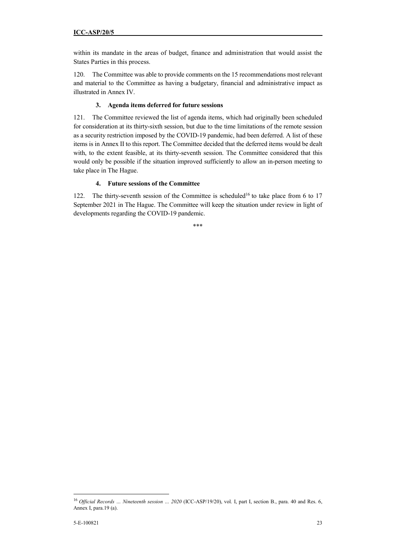within its mandate in the areas of budget, finance and administration that would assist the States Parties in this process.

120. The Committee was able to provide comments on the 15 recommendations most relevant and material to the Committee as having a budgetary, financial and administrative impact as illustrated in Annex IV.

## **3. Agenda items deferred for future sessions**

121. The Committee reviewed the list of agenda items, which had originally been scheduled for consideration at its thirty-sixth session, but due to the time limitations of the remote session as a security restriction imposed by the COVID-19 pandemic, had been deferred. A list of these items is in Annex II to this report. The Committee decided that the deferred items would be dealt with, to the extent feasible, at its thirty-seventh session. The Committee considered that this would only be possible if the situation improved sufficiently to allow an in-person meeting to take place in The Hague.

## **4. Future sessions of the Committee**

122. The thirty-seventh session of the Committee is scheduled<sup>16</sup> to take place from 6 to 17 September 2021 in The Hague. The Committee will keep the situation under review in light of developments regarding the COVID-19 pandemic.

<sup>\*\*\*</sup> 

<sup>&</sup>lt;sup>16</sup> Official Records ... Nineteenth session ... 2020 (ICC-ASP/19/20), vol. I, part I, section B., para. 40 and Res. 6, Annex I, para.19 (a).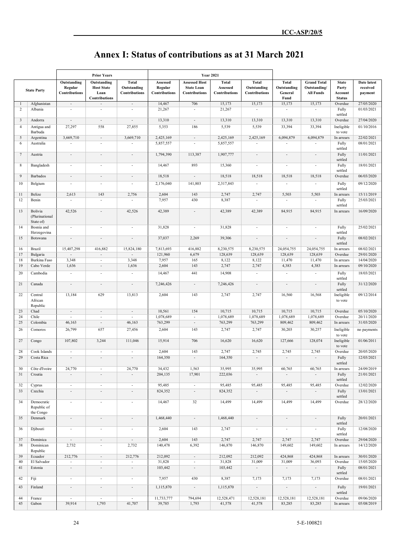| <b>Annex I: Status of contributions as at 31 March 2021</b> |  |
|-------------------------------------------------------------|--|
|-------------------------------------------------------------|--|

|                |                                 |                                    | <b>Prior Years</b>                                   |                              | <b>Year 2021</b>                |                                           |                           |                              |                          |                                  |                       |                          |
|----------------|---------------------------------|------------------------------------|------------------------------------------------------|------------------------------|---------------------------------|-------------------------------------------|---------------------------|------------------------------|--------------------------|----------------------------------|-----------------------|--------------------------|
|                |                                 | Outstanding                        | Outstanding                                          | <b>Total</b>                 | Assessed                        | <b>Assessed Host</b>                      | <b>Total</b>              | <b>Total</b>                 | <b>Total</b>             | <b>Grand Total</b>               | <b>State</b>          | Date latest              |
|                | <b>State Party</b>              | Regular<br><b>Contributions</b>    | <b>Host State</b><br>Loan                            | Outstanding<br>Contributions | Regular<br><b>Contributions</b> | <b>State Loan</b><br><b>Contributions</b> | Assessed<br>Contributions | Outstanding<br>Contributions | Outstanding<br>General   | Outstanding/<br><b>All Funds</b> | Party<br>Account      | received                 |
|                |                                 |                                    | <b>Contributions</b>                                 |                              |                                 |                                           |                           |                              | Fund                     |                                  | <b>Status</b>         | payment                  |
| 1              | Afghanistan                     | $\overline{\phantom{a}}$           | $\overline{\phantom{a}}$                             | $\overline{\phantom{a}}$     | 14,467                          | 706                                       | 15,173                    | 15,173                       | 15,173                   | 15,173                           | Overdue               | 27/05/2020               |
| $\overline{c}$ | Albania                         | $\overline{\phantom{a}}$           | $\overline{\phantom{a}}$                             | $\overline{\phantom{a}}$     | 21,267                          | $\overline{\phantom{a}}$                  | 21,267                    | $\overline{\phantom{a}}$     | $\overline{\phantom{a}}$ | $\overline{\phantom{a}}$         | Fully                 | 01/03/2021               |
| 3              | Andorra                         | $\overline{\phantom{a}}$           | $\overline{\phantom{a}}$                             | $\overline{\phantom{a}}$     | 13,310                          | $\overline{\phantom{a}}$                  | 13,310                    | 13,310                       | 13,310                   | 13,310                           | settled<br>Overdue    | 27/04/2020               |
| $\overline{4}$ | Antigua and                     | 27,297                             | 558                                                  | 27,855                       | 5,353                           | 186                                       | 5,539                     | 5,539                        | 33,394                   | 33,394                           | Ineligible            | 01/10/2016               |
|                | Barbuda                         |                                    |                                                      |                              |                                 |                                           |                           |                              |                          |                                  | to vote               |                          |
| 5              | Argentina                       | 3,669,710                          | $\sim$                                               | 3,669,710                    | 2,425,169                       | $\overline{\phantom{a}}$                  | 2,425,169                 | 2,425,169                    | 6,094,879                | 6,094,879                        | In arrears            | 22/02/2021               |
| 6              | Australia                       |                                    | $\overline{a}$                                       | $\overline{a}$               | 5,857,557                       |                                           | 5,857,557                 |                              |                          | $\overline{a}$                   | Fully<br>settled      | 08/01/2021               |
| $\overline{7}$ | Austria                         | $\overline{\phantom{a}}$           | $\overline{\phantom{a}}$                             | $\overline{a}$               | 1,794,390                       | 113,387                                   | 1,907,777                 | $\overline{\phantom{a}}$     | $\overline{\phantom{a}}$ | $\overline{\phantom{a}}$         | Fully                 | 11/01/2021               |
|                |                                 |                                    |                                                      |                              |                                 |                                           |                           |                              |                          |                                  | settled               |                          |
| 8              | Bangladesh                      | $\overline{\phantom{a}}$           | $\overline{\phantom{a}}$                             | $\overline{\phantom{a}}$     | 14,467                          | 893                                       | 15,360                    | $\overline{\phantom{a}}$     | $\overline{\phantom{a}}$ | $\overline{\phantom{a}}$         | Fully                 | 18/01/2021               |
| 9              | Barbados                        | $\overline{\phantom{a}}$           | $\overline{\phantom{a}}$                             | $\overline{\phantom{a}}$     | 18,518                          | $\overline{\phantom{a}}$                  | 18,518                    | 18,518                       | 18,518                   | 18,518                           | settled<br>Overdue    | 06/03/2020               |
| 10             | Belgium                         |                                    | $\overline{\phantom{a}}$                             | $\overline{\phantom{a}}$     | 2,176,040                       | 141,803                                   | 2,317,843                 | $\overline{a}$               | $\overline{a}$           | $\overline{\phantom{a}}$         | Fully                 | 09/12/2020               |
|                |                                 |                                    |                                                      |                              |                                 |                                           |                           |                              |                          |                                  | settled               |                          |
| 11             | Belize                          | 2,613                              | 143                                                  | 2,756                        | 2,604                           | 143                                       | 2,747                     | 2,747                        | 5,503                    | 5,503                            | In arrears            | 15/11/2019               |
| 12             | Benin                           |                                    |                                                      |                              | 7,957                           | 430                                       | 8,387                     |                              |                          | $\overline{\phantom{a}}$         | Fully                 | 25/03/2021               |
| 13             | Bolivia                         | 42,526                             | $\overline{\phantom{a}}$                             | 42,526                       | 42,389                          | $\overline{\phantom{a}}$                  | 42,389                    | 42,389                       | 84,915                   | 84,915                           | settled<br>In arrears | 16/09/2020               |
|                | (Plurinational                  |                                    |                                                      |                              |                                 |                                           |                           |                              |                          |                                  |                       |                          |
|                | State of)                       |                                    |                                                      |                              |                                 |                                           |                           |                              |                          |                                  |                       |                          |
| 14             | Bosnia and<br>Herzegovina       | $\overline{\phantom{a}}$           | $\overline{\phantom{a}}$                             | $\overline{\phantom{a}}$     | 31,828                          | $\blacksquare$                            | 31,828                    | $\overline{\phantom{a}}$     | $\overline{\phantom{a}}$ | $\overline{\phantom{a}}$         | Fully<br>settled      | 25/02/2021               |
| 15             | Botswana                        |                                    | $\overline{\phantom{a}}$                             | $\overline{a}$               | 37,037                          | 2,269                                     | 39,306                    | $\centerdot$                 | $\overline{\phantom{a}}$ | $\overline{\phantom{a}}$         | Fully                 | 08/02/2021               |
|                |                                 |                                    |                                                      |                              |                                 |                                           |                           |                              |                          |                                  | settled               |                          |
| 16             | Brazil                          | 15,407,298                         | 416,882                                              | 15,824,180                   | 7,813,693                       | 416,882                                   | 8,230,575                 | 8,230,575                    | 24,054,755               | 24,054,755                       | In arrears            | 08/02/2021               |
| 17<br>18       | Bulgaria<br><b>Burkina Faso</b> | $\overline{\phantom{a}}$<br>3,348  | $\overline{\phantom{a}}$<br>$\overline{\phantom{a}}$ | 3,348                        | 121,960<br>7,957                | 6,679<br>165                              | 128,639<br>8,122          | 128,639<br>8,122             | 128,639<br>11,470        | 128,639<br>11,470                | Overdue<br>In arrears | 29/01/2020<br>14/04/2020 |
| 19             | Cabo Verde                      | 1,636                              | $\sim$                                               | 1,636                        | 2,604                           | 143                                       | 2,747                     | 2,747                        | 4,383                    | 4,383                            | In arrears            | 09/10/2020               |
| 20             | Cambodia                        |                                    | $\overline{\phantom{a}}$                             | $\overline{\phantom{a}}$     | 14,467                          | 441                                       | 14,908                    | $\overline{\phantom{a}}$     | $\overline{\phantom{a}}$ | $\overline{\phantom{a}}$         | Fully                 | 18/03/2021               |
|                |                                 |                                    |                                                      |                              |                                 |                                           |                           |                              |                          |                                  | settled               |                          |
| 21             | Canada                          | $\overline{\phantom{a}}$           | $\sim$                                               | $\overline{\phantom{a}}$     | 7,246,426                       | $\overline{\phantom{a}}$                  | 7,246,426                 | $\overline{\phantom{a}}$     | $\overline{\phantom{a}}$ | $\overline{\phantom{a}}$         | Fully                 | 31/12/2020               |
| 22             | Central                         | 13,184                             | 629                                                  | 13,813                       | 2,604                           | 143                                       | 2,747                     | 2,747                        | 16,560                   | 16,568                           | settled<br>Ineligible | 09/12/2014               |
|                | African                         |                                    |                                                      |                              |                                 |                                           |                           |                              |                          |                                  | to vote               |                          |
|                | Republic                        |                                    |                                                      |                              |                                 |                                           |                           |                              |                          |                                  |                       |                          |
| 23<br>24       | Chad<br>Chile                   | $\overline{\phantom{a}}$<br>$\sim$ | $\overline{\phantom{a}}$<br>$\overline{\phantom{a}}$ | $\sim$<br>$\sim$             | 10,561<br>1,078,689             | 154<br>$\overline{\phantom{a}}$           | 10,715<br>1,078,689       | 10,715<br>1,078,689          | 10,715<br>1,078,689      | 10,715<br>1,078,689              | Overdue<br>Overdue    | 05/10/2020<br>20/11/2020 |
| 25             | Colombia                        | 46,163                             | $\overline{\phantom{a}}$                             | 46,163                       | 763,299                         | $\blacksquare$                            | 763,299                   | 763,299                      | 809,462                  | 809,462                          | In arrears            | 31/03/2020               |
| 26             | Comoros                         | 26,799                             | 657                                                  | 27,456                       | 2,604                           | 143                                       | 2,747                     | 2,747                        | 30,203                   | 30,257                           | Ineligible            | no payments              |
|                |                                 |                                    |                                                      |                              |                                 |                                           |                           |                              |                          |                                  | to vote               |                          |
| 27             | Congo                           | 107,802                            | 3,244                                                | 111,046                      | 15,914                          | 706                                       | 16,620                    | 16,620                       | 127,666                  | 128,074                          | Ineligible            | 01/06/2011               |
| 28             | Cook Islands                    |                                    | $\overline{\phantom{a}}$                             | $\overline{\phantom{a}}$     | 2,604                           | 143                                       | 2,747                     | 2,745                        | 2,745                    | 2,745                            | to vote<br>Overdue    | 20/05/2020               |
| 29             | Costa Rica                      | $\mathbf{r}$                       | $\overline{\phantom{a}}$                             | $\overline{\phantom{a}}$     | 164,350                         | $\overline{\phantom{a}}$                  | 164,350                   | $\overline{\phantom{a}}$     | $\overline{\phantom{a}}$ | $\overline{\phantom{a}}$         | Fully                 | 12/03/2021               |
|                |                                 |                                    |                                                      |                              |                                 |                                           |                           |                              |                          |                                  | settled               |                          |
|                | 30   Côte d'Ivoire              | 24,770                             |                                                      | 24,770                       | 34,432                          | 1,563                                     | 35,995                    | 35,995                       | 60,765                   | 60,765                           | In arrears            | 24/09/2019               |
| 31             | Croatia                         | $\overline{\phantom{a}}$           |                                                      | $\overline{\phantom{a}}$     | 204,135                         | 17,901                                    | 222,036                   | $\overline{\phantom{a}}$     |                          | $\overline{\phantom{a}}$         | Fully<br>settled      | 21/01/2021               |
| 32             | Cyprus                          | $\overline{\phantom{a}}$           | $\overline{\phantom{a}}$                             | $\overline{\phantom{a}}$     | 95,485                          | $\blacksquare$                            | 95,485                    | 95,485                       | 95,485                   | 95,485                           | Overdue               | 12/02/2020               |
| 33             | Czechia                         | $\overline{\phantom{a}}$           | $\overline{\phantom{a}}$                             | $\overline{\phantom{a}}$     | 824,352                         | $\overline{\phantom{a}}$                  | 824,352                   | $\mathcal{L}_{\mathcal{A}}$  | $\overline{\phantom{a}}$ | $\overline{\phantom{a}}$         | Fully                 | 13/01/2021               |
|                |                                 |                                    |                                                      |                              |                                 |                                           |                           |                              |                          |                                  | settled               |                          |
| 34             | Democratic<br>Republic of       | $\overline{\phantom{a}}$           | $\overline{\phantom{a}}$                             | $\overline{\phantom{a}}$     | 14,467                          | 32                                        | 14,499                    | 14,499                       | 14,499                   | 14,499                           | Overdue               | 28/12/2020               |
|                | the Congo                       |                                    |                                                      |                              |                                 |                                           |                           |                              |                          |                                  |                       |                          |
| 35             | Denmark                         | $\overline{\phantom{a}}$           | $\blacksquare$                                       | $\overline{\phantom{a}}$     | 1,468,440                       | $\overline{\phantom{a}}$                  | 1,468,440                 | $\overline{\phantom{a}}$     | $\overline{\phantom{a}}$ | $\overline{\phantom{a}}$         | Fully                 | 20/01/2021               |
|                | Djibouti                        |                                    |                                                      |                              | 2,604                           | 143                                       | 2,747                     |                              |                          |                                  | settled               | 12/08/2020               |
| 36             |                                 | $\overline{\phantom{a}}$           | $\overline{\phantom{a}}$                             | $\overline{\phantom{a}}$     |                                 |                                           |                           | $\blacksquare$               | $\overline{\phantom{a}}$ | $\overline{\phantom{a}}$         | Fully<br>settled      |                          |
| 37             | Dominica                        | $\sim$                             | $\overline{\phantom{a}}$                             | $\sim$                       | 2,604                           | 143                                       | 2,747                     | 2,747                        | 2,747                    | 2,747                            | Overdue               | 29/04/2020               |
| 38             | Dominican                       | 2,732                              | $\overline{\phantom{a}}$                             | 2,732                        | 140,478                         | 6,392                                     | 146,870                   | 146,870                      | 149,602                  | 149,602                          | In arrears            | 14/12/2020               |
| 39             | Republic<br>Ecuador             | 212,776                            | $\sim$                                               | 212,776                      | 212,092                         | $\sim$                                    | 212,092                   | 212,092                      | 424,868                  | 424,868                          | In arrears            | 30/01/2020               |
| 40             | El Salvador                     | $\overline{\phantom{a}}$           | $\blacksquare$                                       | $\overline{\phantom{a}}$     | 31,828                          | $\blacksquare$                            | 31,828                    | 31,009                       | 31,009                   | 36,093                           | Overdue               | 15/05/2020               |
| 41             | Estonia                         | $\overline{\phantom{a}}$           | $\overline{\phantom{a}}$                             | $\overline{\phantom{a}}$     | 103,442                         | $\overline{\phantom{a}}$                  | 103,442                   | $\overline{\phantom{a}}$     | $\overline{\phantom{a}}$ | $\overline{\phantom{a}}$         | Fully                 | 08/01/2021               |
| 42             |                                 | $\blacksquare$                     | $\blacksquare$                                       |                              | 7,957                           | 430                                       | 8,387                     |                              |                          |                                  | settled<br>Overdue    | 08/01/2021               |
|                | Fiji                            |                                    |                                                      | $\blacksquare$               |                                 |                                           |                           | 7,173                        | 7,173                    | 7,173                            |                       |                          |
| 43             | Finland                         | $\overline{\phantom{a}}$           | $\overline{\phantom{a}}$                             | $\overline{\phantom{a}}$     | 1,115,870                       | $\overline{\phantom{a}}$                  | 1,115,870                 | $\overline{\phantom{a}}$     | $\overline{\phantom{a}}$ | $\overline{\phantom{a}}$         | Fully                 | 19/01/2021               |
| 44             | France                          | $\blacksquare$                     | $\sim$                                               | $\overline{\phantom{a}}$     | 11,733,777                      | 794,694                                   | 12,528,471                | 12,528,181                   | 12,528,181               | 12,528,181                       | settled<br>Overdue    | 09/06/2020               |
| 45             | Gabon                           | 39,914                             | 1,793                                                | 41,707                       | 39,785                          | 1,793                                     | 41,578                    | 41,578                       | 83,285                   | 83,285                           | In arrears            | 05/08/2019               |
|                |                                 |                                    |                                                      |                              |                                 |                                           |                           |                              |                          |                                  |                       |                          |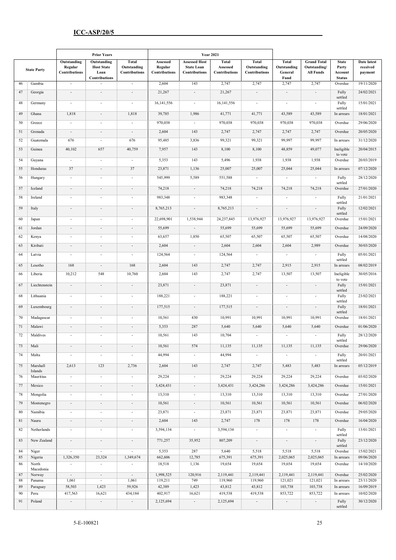|          |                      | <b>Prior Years</b>                      |                                                                  |                                              | <b>Year 2021</b>                     |                                                            |                                           |                                                     |                                                |                                                        |                                                   |                                           |
|----------|----------------------|-----------------------------------------|------------------------------------------------------------------|----------------------------------------------|--------------------------------------|------------------------------------------------------------|-------------------------------------------|-----------------------------------------------------|------------------------------------------------|--------------------------------------------------------|---------------------------------------------------|-------------------------------------------|
|          | <b>State Party</b>   | Outstanding<br>Regular<br>Contributions | Outstanding<br><b>Host State</b><br>Loan<br><b>Contributions</b> | <b>Total</b><br>Outstanding<br>Contributions | Assessed<br>Regular<br>Contributions | <b>Assessed Host</b><br><b>State Loan</b><br>Contributions | <b>Total</b><br>Assessed<br>Contributions | <b>Total</b><br>Outstanding<br><b>Contributions</b> | <b>Total</b><br>Outstanding<br>General<br>Fund | <b>Grand Total</b><br>Outstanding/<br><b>All Funds</b> | <b>State</b><br>Party<br>Account<br><b>Status</b> | <b>Date latest</b><br>received<br>payment |
| 46       | Gambia               | $\overline{\phantom{a}}$                | $\overline{\phantom{a}}$                                         | $\blacksquare$                               | 2,604                                | 143                                                        | 2,747                                     | 2,747                                               | 2,747                                          | 2,747                                                  | Overdue                                           | 19/11/2020                                |
| 47       | Georgia              | $\overline{\phantom{a}}$                | $\overline{\phantom{a}}$                                         | $\overline{\phantom{a}}$                     | 21,267                               | $\overline{\phantom{a}}$                                   | 21,267                                    | $\overline{\phantom{a}}$                            | $\overline{\phantom{a}}$                       | $\overline{\phantom{a}}$                               | Fully                                             | 24/02/2021                                |
| 48       | Germany              | $\overline{\phantom{a}}$                | $\overline{\phantom{a}}$                                         | $\overline{\phantom{a}}$                     | 16, 141, 556                         | $\overline{\phantom{a}}$                                   | 16,141,556                                | $\overline{\phantom{a}}$                            | $\overline{\phantom{a}}$                       | $\blacksquare$                                         | settled<br>Fully                                  | 15/01/2021                                |
| 49       | Ghana                | 1,818                                   | $\overline{\phantom{a}}$                                         | 1,818                                        | 39,785                               | 1,986                                                      | 41,771                                    | 41,771                                              | 43,589                                         | 43,589                                                 | settled<br>In arrears                             | 18/01/2021                                |
| 50       | Greece               | $\overline{\phantom{a}}$                | $\overline{\phantom{a}}$                                         | $\overline{\phantom{a}}$                     | 970,038                              | $\blacksquare$                                             | 970,038                                   | 970,038                                             | 970,038                                        | 970,038                                                | Overdue                                           | 29/06/2020                                |
| 51       | Grenada              | $\overline{\phantom{a}}$                |                                                                  | $\overline{\phantom{a}}$                     | 2,604                                | 143                                                        | 2,747                                     | 2,747                                               | 2,747                                          | 2,747                                                  | Overdue                                           | 20/05/2020                                |
| 52       | Guatemala            | 676                                     | $\overline{\phantom{a}}$                                         | 676                                          | 95,485                               | 3,836                                                      | 99,321                                    | 99,321                                              | 99,997                                         | 99,997                                                 | In arrears                                        | 31/12/2020                                |
| 53       | Guinea               | 40,102                                  | 657                                                              | 40,759                                       | 7,957                                | 143                                                        | 8,100                                     | 8,100                                               | 48,859                                         | 49,077                                                 | Ineligible                                        | 20/04/2015                                |
| 54       | Guyana               | $\overline{\phantom{a}}$                | $\overline{\phantom{a}}$                                         | $\overline{\phantom{a}}$                     | 5,353                                | 143                                                        | 5,496                                     | 1,938                                               | 1,938                                          | 1,938                                                  | to vote<br>Overdue                                | 20/03/2019                                |
| 55       | Honduras             | 37                                      | $\overline{\phantom{a}}$                                         | 37                                           | 23,871                               | 1,136                                                      | 25,007                                    | 25,007                                              | 25,044                                         | 25,044                                                 | In arrears                                        | 07/12/2020                                |
| 56       | Hungary              | $\overline{\phantom{a}}$                | $\overline{\phantom{a}}$                                         | $\overline{\phantom{a}}$                     | 545,999                              | 5,589                                                      | 551,588                                   | $\overline{\phantom{a}}$                            | $\overline{\phantom{a}}$                       | $\overline{\phantom{a}}$                               | Fully                                             | 28/12/2020                                |
|          |                      |                                         |                                                                  |                                              |                                      |                                                            |                                           |                                                     |                                                |                                                        | settled                                           |                                           |
| 57       | Iceland              | $\overline{\phantom{a}}$                | $\overline{\phantom{a}}$                                         | $\overline{\phantom{a}}$                     | 74,218                               | $\overline{\phantom{a}}$                                   | 74,218                                    | 74,218                                              | 74,218                                         | 74,218                                                 | Overdue                                           | 27/01/2020<br>21/01/2021                  |
| 58       | Ireland              | $\overline{\phantom{a}}$                |                                                                  | $\overline{a}$                               | 983,348                              | $\sim$                                                     | 983,348                                   | $\overline{\phantom{a}}$                            | $\overline{\phantom{a}}$                       | $\overline{\phantom{a}}$                               | Fully<br>settled                                  |                                           |
| 59       | Italy                | $\overline{\phantom{a}}$                | $\overline{\phantom{a}}$                                         | $\overline{\phantom{a}}$                     | 8,765,213                            | $\overline{\phantom{a}}$                                   | 8,765,213                                 | $\overline{\phantom{a}}$                            | $\overline{\phantom{a}}$                       | $\overline{\phantom{a}}$                               | Fully<br>settled                                  | 12/02/2021                                |
| 60       | Japan                | $\overline{a}$                          |                                                                  |                                              | 22,698,901                           | 1,538,944                                                  | 24,237,845                                | 13,976,927                                          | 13,976,927                                     | 13,976,927                                             | Overdue                                           | 15/01/2021                                |
| 61       | Jordan               | $\overline{\phantom{a}}$                |                                                                  | $\overline{\phantom{a}}$                     | 55,699                               | $\overline{\phantom{a}}$                                   | 55,699                                    | 55,699                                              | 55,699                                         | 55,699                                                 | Overdue                                           | 24/09/2020                                |
| 62       | Kenya                | $\overline{\phantom{a}}$                | $\overline{\phantom{a}}$                                         | $\overline{\phantom{a}}$                     | 63,657                               | 1,850                                                      | 65,507                                    | 65,507                                              | 65,507                                         | 65,507                                                 | Overdue                                           | 14/08/2020                                |
| 63       | Kiribati             | $\overline{\phantom{a}}$                | $\overline{\phantom{a}}$                                         | $\overline{\phantom{a}}$                     | 2,604                                | $\overline{\phantom{a}}$                                   | 2,604                                     | 2,604                                               | 2,604                                          | 2,989                                                  | Overdue                                           | 30/03/2020                                |
| 64       | Latvia               | $\overline{\phantom{a}}$                | $\overline{\phantom{a}}$                                         | $\blacksquare$                               | 124,564                              | $\overline{\phantom{a}}$                                   | 124,564                                   | $\overline{\phantom{a}}$                            | $\overline{\phantom{a}}$                       | $\overline{\phantom{a}}$                               | Fully<br>settled                                  | 05/01/2021                                |
| 65       | Lesotho              | 168                                     | $\overline{\phantom{a}}$                                         | 168                                          | 2,604                                | 143                                                        | 2,747                                     | 2,747                                               | 2,915                                          | 2,915                                                  | In arrears                                        | 08/02/2019                                |
| 66       | Liberia              | 10,212                                  | 548                                                              | 10,760                                       | 2,604                                | 143                                                        | 2,747                                     | 2,747                                               | 13,507                                         | 13,507                                                 | Ineligible                                        | 30/05/2016                                |
| 67       | Liechtenstein        | $\overline{\phantom{a}}$                | $\overline{\phantom{a}}$                                         | $\overline{\phantom{a}}$                     | 23,871                               | $\overline{\phantom{a}}$                                   | 23,871                                    | $\overline{\phantom{a}}$                            | $\overline{\phantom{a}}$                       | $\overline{\phantom{a}}$                               | to vote<br>Fully                                  | 15/01/2021                                |
| 68       | Lithuania            | $\overline{a}$                          |                                                                  | $\overline{a}$                               | 188,221                              |                                                            | 188,221                                   | $\overline{\phantom{a}}$                            |                                                | $\overline{\phantom{a}}$                               | settled<br>Fully                                  | 23/02/2021                                |
| 69       |                      | $\overline{\phantom{a}}$                | $\overline{\phantom{a}}$                                         |                                              | 177,515                              |                                                            |                                           |                                                     |                                                |                                                        | settled                                           | 18/01/2021                                |
|          | Luxembourg           |                                         |                                                                  | $\overline{\phantom{a}}$                     |                                      | $\overline{\phantom{a}}$                                   | 177,515                                   | $\overline{\phantom{a}}$                            | $\overline{\phantom{a}}$                       | $\overline{\phantom{a}}$                               | Fully<br>settled                                  |                                           |
| 70       | Madagascar           | $\overline{\phantom{a}}$                | $\overline{\phantom{a}}$                                         | $\overline{\phantom{m}}$                     | 10,561                               | 430                                                        | 10,991                                    | 10,991                                              | 10,991                                         | 10,991                                                 | Overdue                                           | 18/01/2021                                |
| 71       | Malawi               | $\overline{\phantom{a}}$                | $\overline{\phantom{a}}$                                         | $\sim$                                       | 5,353                                | 287                                                        | 5,640                                     | 5,640                                               | 5,640                                          | 5,640                                                  | Overdue                                           | 01/06/2020                                |
| 72       | Maldives             | $\overline{\phantom{a}}$                | $\overline{\phantom{a}}$                                         | $\overline{\phantom{a}}$                     | 10,561                               | 143                                                        | 10,704                                    | $\overline{\phantom{a}}$                            |                                                | $\overline{\phantom{a}}$                               | Fully<br>settled                                  | 28/12/2020                                |
| 73       | Mali                 | $\overline{\phantom{a}}$                |                                                                  |                                              | 10,561                               | 574                                                        | 11,135                                    | 11,135                                              | 11,135                                         | 11,135                                                 | Overdue                                           | 29/06/2020                                |
| 74       | Malta                | $\overline{\phantom{a}}$                | $\overline{\phantom{a}}$                                         | $\overline{\phantom{a}}$                     | 44,994                               |                                                            | 44,994                                    | $\overline{\phantom{a}}$                            | $\overline{\phantom{a}}$                       | $\overline{\phantom{a}}$                               | Fully<br>settled                                  | 20/01/2021                                |
| 75       | Marshall             | 2,613                                   | 123                                                              | 2,736                                        | 2,604                                | 143                                                        | 2,747                                     | 2,747                                               | 5,483                                          | 5,483                                                  | In arrears                                        | 05/12/2019                                |
| 76       | Islands<br>Mauritius | $\blacksquare$                          | $\overline{\phantom{a}}$                                         | $\blacksquare$                               | 29,224                               | $\overline{\phantom{a}}$                                   | 29,224                                    | 29,224                                              | 29,224                                         | 29,224                                                 | Overdue                                           | 03/02/2020                                |
| 77       | Mexico               | $\overline{\phantom{a}}$                | $\overline{\phantom{a}}$                                         | $\overline{\phantom{a}}$                     | 3,424,431                            | $\overline{\phantom{a}}$                                   | 3,424,431                                 | 3,424,286                                           | 3,424,286                                      | 3,424,286                                              | Overdue                                           | 15/01/2021                                |
| 78       | Mongolia             | $\overline{\phantom{a}}$                | $\overline{\phantom{a}}$                                         | $\overline{\phantom{a}}$                     | 13,310                               | $\overline{\phantom{a}}$                                   | 13,310                                    | 13,310                                              | 13,310                                         | 13,310                                                 | Overdue                                           | 27/01/2020                                |
| 79       | Montenegro           | $\overline{\phantom{a}}$                | $\overline{\phantom{a}}$                                         | $\sim$                                       | 10,561                               | $\overline{\phantom{a}}$                                   | 10,561                                    | 10,561                                              | 10,561                                         | 10,561                                                 | Overdue                                           | 06/02/2020                                |
| 80       | Namibia              | $\blacksquare$                          | $\overline{\phantom{a}}$                                         | $\overline{\phantom{a}}$                     | 23,871                               | $\overline{\phantom{a}}$                                   | 23,871                                    | 23,871                                              | 23,871                                         | 23,871                                                 | Overdue                                           | 29/05/2020                                |
| 81       | Nauru                | $\overline{\phantom{a}}$                | $\overline{\phantom{a}}$                                         | $\overline{\phantom{a}}$                     | 2,604                                | 143                                                        | 2,747                                     | 178                                                 | 178                                            | 178                                                    | Overdue                                           | 16/04/2020                                |
| 82       | Netherlands          | $\overline{\phantom{a}}$                | $\overline{\phantom{a}}$                                         | $\blacksquare$                               | 3,594,134                            | $\overline{\phantom{a}}$                                   | 3,594,134                                 | $\overline{\phantom{a}}$                            | $\overline{\phantom{a}}$                       | $\blacksquare$                                         | Fully                                             | 13/01/2021                                |
| 83       | New Zealand          | $\overline{\phantom{a}}$                | $\overline{\phantom{a}}$                                         | $\overline{\phantom{a}}$                     | 771,257                              | 35,952                                                     | 807,209                                   | $\overline{\phantom{a}}$                            | $\overline{\phantom{a}}$                       | $\overline{\phantom{a}}$                               | settled<br>Fully                                  | 23/12/2020                                |
| 84       | Niger                |                                         | $\overline{\phantom{a}}$                                         |                                              | 5,353                                | 287                                                        | 5,640                                     | 5,518                                               | 5,518                                          | 5,518                                                  | settled<br>Overdue                                | 15/02/2021                                |
| 85       | Nigeria              | 1,326,350                               | 23,324                                                           | 1,349,674                                    | 662,606                              | 12,785                                                     | 675,391                                   | 675,391                                             | 2,025,065                                      | 2,025,065                                              | In arrears                                        | 09/06/2020                                |
| 86       | North<br>Macedonia   | $\blacksquare$                          | $\overline{\phantom{a}}$                                         | $\ddot{\phantom{0}}$                         | 18,518                               | 1,136                                                      | 19,654                                    | 19,654                                              | 19,654                                         | 19,654                                                 | Overdue                                           | 14/10/2020                                |
| 87       | Norway               | $\sim$                                  | $\overline{\phantom{a}}$                                         | $\sim$                                       | 1,998,525                            | 120,916                                                    | 2,119,441                                 | 2,119,441                                           | 2,119,441                                      | 2,119,441                                              | Overdue                                           | 25/02/2020<br>23/11/2020                  |
| 88<br>89 | Panama<br>Paraguay   | 1,061<br>58,503                         | $\sim$<br>1,423                                                  | 1,061<br>59,926                              | 119,211<br>42,389                    | 749<br>1,423                                               | 119,960<br>43,812                         | 119,960<br>43,812                                   | 121,021<br>103,738                             | 121,021<br>103,738                                     | In arrears<br>In arrears                          | 16/09/2019                                |
| 90       | Peru                 | 417,563                                 | 16,621                                                           | 434,184                                      | 402,917                              | 16,621                                                     | 419,538                                   | 419,538                                             | 853,722                                        | 853,722                                                | In arrears                                        | 10/02/2020                                |
| 91       | Poland               |                                         | $\overline{\phantom{a}}$                                         | $\overline{\phantom{a}}$                     | 2,125,694                            | $\overline{\phantom{a}}$                                   | 2,125,694                                 | $\overline{\phantom{a}}$                            | $\overline{\phantom{a}}$                       | $\overline{\phantom{a}}$                               | Fully<br>settled                                  | 30/12/2020                                |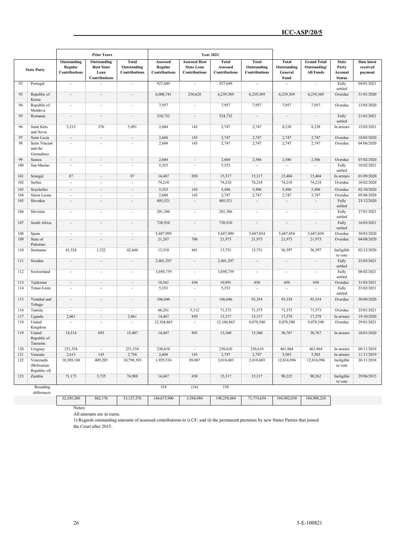|     |                                          |                                         | <b>Prior Years</b>                                        |                                       |                                      | <b>Year 2021</b>                                           |                                           |                                              |                                                |                                                        |                                                   |                                    |
|-----|------------------------------------------|-----------------------------------------|-----------------------------------------------------------|---------------------------------------|--------------------------------------|------------------------------------------------------------|-------------------------------------------|----------------------------------------------|------------------------------------------------|--------------------------------------------------------|---------------------------------------------------|------------------------------------|
|     | <b>State Party</b>                       | Outstanding<br>Regular<br>Contributions | Outstanding<br><b>Host State</b><br>Loan<br>Contributions | Total<br>Outstanding<br>Contributions | Assessed<br>Regular<br>Contributions | <b>Assessed Host</b><br><b>State Loan</b><br>Contributions | <b>Total</b><br>Assessed<br>Contributions | <b>Total</b><br>Outstanding<br>Contributions | <b>Total</b><br>Outstanding<br>General<br>Fund | <b>Grand Total</b><br>Outstanding/<br><b>All Funds</b> | <b>State</b><br>Party<br>Account<br><b>Status</b> | Date latest<br>received<br>payment |
| 92  | Portugal                                 | $\overline{\phantom{a}}$                |                                                           | $\overline{\phantom{a}}$              | 927,649                              | $\overline{\phantom{a}}$                                   | 927,649                                   | $\overline{a}$                               |                                                | $\overline{\phantom{a}}$                               | Fully<br>settled                                  | 04/01/2021                         |
| 93  | Republic of<br>Korea                     | $\overline{\phantom{a}}$                | $\overline{\phantom{a}}$                                  | $\overline{\phantom{a}}$              | 6,008,741                            | 230,628                                                    | 6,239,369                                 | 6,239,369                                    | 6,239,369                                      | 6,239,369                                              | Overdue                                           | 31/01/2020                         |
| 94  | Republic of<br>Moldova                   | $\overline{a}$                          | $\overline{\phantom{a}}$                                  | $\overline{\phantom{a}}$              | 7,957                                | $\overline{\phantom{a}}$                                   | 7,957                                     | 7,957                                        | 7,957                                          | 7,957                                                  | Overdue                                           | 13/05/2020                         |
| 95  | Romania                                  | $\overline{\phantom{a}}$                | $\overline{\phantom{a}}$                                  | $\overline{\phantom{a}}$              | 524,732                              | $\overline{\phantom{a}}$                                   | 524,732                                   | $\overline{\phantom{a}}$                     | $\overline{\phantom{a}}$                       | $\overline{\phantom{a}}$                               | Fully<br>settled                                  | 21/01/2021                         |
| 96  | Saint Kitts<br>and Nevis                 | 5,215                                   | 276                                                       | 5,491                                 | 2,604                                | 143                                                        | 2,747                                     | 2,747                                        | 8,238                                          | 8,238                                                  | In arrears                                        | 12/02/2021                         |
| 97  | Saint Lucia                              | $\overline{\phantom{a}}$                | $\overline{\phantom{a}}$                                  | $\overline{\phantom{a}}$              | 2,604                                | 143                                                        | 2,747                                     | 2,747                                        | 2,747                                          | 2,747                                                  | Overdue                                           | 18/03/2020                         |
| 98  | Saint Vincent<br>and the<br>Grenadines   |                                         |                                                           |                                       | 2,604                                | 143                                                        | 2,747                                     | 2,747                                        | 2,747                                          | 2,747                                                  | Overdue                                           | 04/06/2020                         |
| 99  | Samoa                                    | $\overline{\phantom{a}}$                | $\overline{\phantom{a}}$                                  | $\overline{\phantom{a}}$              | 2,604                                | $\overline{\phantom{a}}$                                   | 2,604                                     | 2,586                                        | 2,586                                          | 2,586                                                  | Overdue                                           | 07/02/2020                         |
| 100 | San Marino                               | $\overline{\phantom{a}}$                | $\overline{\phantom{a}}$                                  | $\overline{\phantom{a}}$              | 5,353                                | $\overline{\phantom{a}}$                                   | 5,353                                     | $\overline{\phantom{a}}$                     | $\sim$                                         | $\overline{\phantom{a}}$                               | Fully<br>settled                                  | 18/02/2021                         |
| 101 | Senegal                                  | 87                                      | $\overline{\phantom{a}}$                                  | 87                                    | 14,467                               | 850                                                        | 15,317                                    | 15,317                                       | 15,404                                         | 15,404                                                 | In arrears                                        | 01/09/2020                         |
| 102 | Serbia                                   | $\overline{\phantom{a}}$                | $\overline{\phantom{a}}$                                  | $\overline{\phantom{a}}$              | 74,218                               | $\overline{\phantom{a}}$                                   | 74,218                                    | 74,218                                       | 74,218                                         | 74,218                                                 | Overdue                                           | 10/02/2020                         |
| 103 | Seychelles                               | $\overline{\phantom{a}}$                | $\overline{\phantom{a}}$                                  | $\overline{\phantom{a}}$              | 5,353                                | 143                                                        | 5,496                                     | 5,496                                        | 5,496                                          | 5,496                                                  | Overdue                                           | 02/10/2020                         |
| 104 | Sierra Leone                             | $\sim$                                  | $\overline{\phantom{a}}$                                  | $\overline{\phantom{a}}$              | 2,604                                | 143                                                        | 2,747                                     | 2,747                                        | 2,747                                          | 2,747                                                  | Overdue                                           | 05/06/2020                         |
| 105 | Slovakia                                 | $\overline{a}$                          | $\overline{\phantom{a}}$                                  | $\overline{\phantom{a}}$              | 405,521                              | $\overline{\phantom{a}}$                                   | 405,521                                   | $\overline{\phantom{a}}$                     | $\overline{\phantom{a}}$                       | $\overline{\phantom{a}}$                               | Fully<br>settled                                  | 23/12/2020                         |
| 106 | Slovenia                                 | $\overline{\phantom{a}}$                | $\overline{\phantom{a}}$                                  | $\overline{\phantom{a}}$              | 201,386                              | $\overline{\phantom{a}}$                                   | 201,386                                   | $\overline{\phantom{a}}$                     | $\overline{\phantom{a}}$                       | $\overline{\phantom{a}}$                               | Fully<br>settled                                  | 27/01/2021                         |
| 107 | South Africa                             | $\overline{\phantom{a}}$                | $\overline{\phantom{a}}$                                  | $\overline{\phantom{a}}$              | 720,910                              | $\overline{\phantom{a}}$                                   | 720,910                                   | ÷,                                           | $\overline{\phantom{a}}$                       | $\overline{\phantom{a}}$                               | Fully<br>settled                                  | 16/03/2021                         |
| 108 | Spain                                    | $\overline{\phantom{a}}$                | $\sim$                                                    | $\overline{\phantom{a}}$              | 5,687,999                            | $\sim$                                                     | 5,687,999                                 | 5,687,854                                    | 5,687,854                                      | 5,687,854                                              | Overdue                                           | 30/03/2020                         |
| 109 | State of<br>Palestine                    | $\overline{\phantom{a}}$                | $\overline{\phantom{a}}$                                  | $\overline{\phantom{a}}$              | 21,267                               | 706                                                        | 21,973                                    | 21,973                                       | 21,973                                         | 21,973                                                 | Overdue                                           | 04/08/2020                         |
| 110 | Suriname                                 | 41,324                                  | 1,322                                                     | 42,646                                | 13,310                               | 441                                                        | 13,751                                    | 13,751                                       | 56,397                                         | 56,397                                                 | Ineligible<br>to vote                             | 02/12/2020                         |
| 111 | Sweden                                   | $\overline{\phantom{a}}$                | $\overline{\phantom{a}}$                                  | $\overline{\phantom{a}}$              | 2,401,297                            | $\overline{\phantom{a}}$                                   | 2,401,297                                 | $\overline{\phantom{a}}$                     | $\overline{\phantom{a}}$                       | $\overline{\phantom{a}}$                               | Fully<br>settled                                  | 23/03/2021                         |
| 112 | Switzerland                              | $\overline{\phantom{a}}$                | $\overline{\phantom{a}}$                                  | $\overline{\phantom{a}}$              | 3,050,739                            | $\overline{\phantom{a}}$                                   | 3,050,739                                 | $\overline{\phantom{a}}$                     | $\overline{\phantom{a}}$                       | $\overline{\phantom{a}}$                               | Fully<br>settled                                  | 08/02/2021                         |
| 113 | Tajikistan                               | $\overline{\phantom{a}}$                | $\mathbf{r}$                                              | $\overline{\phantom{a}}$              | 10,561                               | 430                                                        | 10,991                                    | 430                                          | 430                                            | 430                                                    | Overdue                                           | 31/03/2021                         |
| 114 | Timor-Leste                              | $\overline{a}$                          |                                                           | $\overline{\phantom{a}}$              | 5,353                                | $\overline{\phantom{a}}$                                   | 5,353                                     | $\overline{a}$                               | $\overline{\phantom{a}}$                       | $\overline{\phantom{a}}$                               | Fully<br>settled                                  | 23/02/2021                         |
| 115 | Trinidad and<br>Tobago                   | $\overline{\phantom{a}}$                | $\overline{\phantom{a}}$                                  | $\overline{\phantom{a}}$              | 106,046                              | $\overline{\phantom{a}}$                                   | 106,046                                   | 93,354                                       | 93,354                                         | 93,354                                                 | Overdue                                           | 30/09/2020                         |
| 116 | Tunisia                                  | $\overline{\phantom{a}}$                | $\overline{\phantom{a}}$                                  | $\overline{\phantom{a}}$              | 66,261                               | 5,112                                                      | 71,373                                    | 71,373                                       | 71,373                                         | 71,373                                                 | Overdue                                           | 25/01/2021                         |
| 117 | Uganda                                   | 2,061                                   | $\overline{\phantom{a}}$                                  | 2,061                                 | 14,467                               | 850                                                        | 15,317                                    | 15,317                                       | 17,378                                         | 17,378                                                 | In arrears                                        | 19/10/2020                         |
| 118 | United<br>Kingdom                        | $\mathbb{L}$                            | $\overline{\phantom{a}}$                                  | $\overline{\phantom{a}}$              | 12,104,865                           | $\overline{\phantom{a}}$                                   | 12,104,865                                | 9,078,540                                    | 9,078,540                                      | 9,078,540                                              | Overdue                                           | 29/01/2021                         |
| 119 | United<br>Republic of<br>Tanzania        | 14,514                                  | 893                                                       | 15,407                                | 14,467                               | 893                                                        | 15,360                                    | 15,360                                       | 30,767                                         | 30,767                                                 | In arrears                                        | 10/01/2020                         |
| 120 | Uruguay                                  | 231,354                                 | $\blacksquare$                                            | 231,354                               | 230,610                              | $\mathbb{Z}^2$                                             | 230,610                                   | 230,610                                      | 461,964                                        | 461,964                                                | In arrears                                        | 08/11/2019                         |
| 121 | Vanuatu                                  | 2,613                                   | 143                                                       | 2,756                                 | 2,604                                | 143                                                        | 2,747                                     | 2,747                                        | 5,503                                          | 5,503                                                  | In arrears                                        | 11/11/2019                         |
| 122 | Venezuela<br>(Bolivarian<br>Republic of) | 10,389,188                              | 409,205                                                   | 10,798,393                            | 1,929,516                            | 89,087                                                     | 2,018,603                                 | 2,018,603                                    | 12,816,996                                     | 12,816,996                                             | Ineligible<br>to vote                             | 26/11/2018                         |
| 123 | Zambia                                   | 71,173                                  | 3,735                                                     | 74,908                                | 14,467                               | 850                                                        | 15,317                                    | 15,317                                       | 90,225                                         | 90,262                                                 | Ineligible<br>to vote                             | 29/06/2015                         |
|     | Rounding<br>differences                  |                                         |                                                           |                                       | 154                                  | (16)                                                       | 138                                       |                                              |                                                |                                                        |                                                   |                                    |
|     |                                          | 32,245,200                              | 882,176                                                   | 33, 127, 376                          | 144,673,900                          | 3,584,984                                                  | 148,258,884                               | 71,774,654                                   | 104,902,030                                    | 104,908,224                                            |                                                   |                                    |

Notes:

All amounts are in euros.

1) Regards outstanding amounts of assessed contributions to i) CF; and ii) the permanent premises by new States Parties that joined the Court after 2015.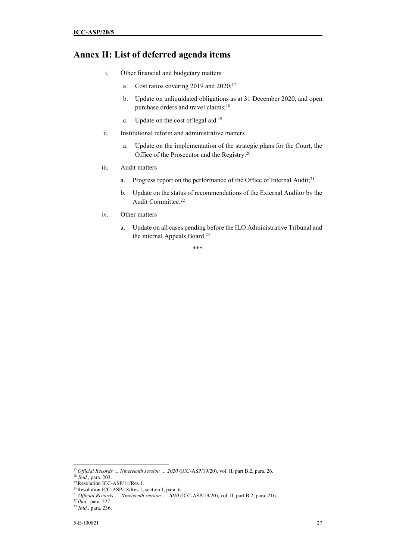## **Annex II: List of deferred agenda items**

- i. Other financial and budgetary matters
	- a. Cost ratios covering 2019 and  $2020$ ;<sup>17</sup>
	- b. Update on unliquidated obligations as at 31 December 2020, and open purchase orders and travel claims;<sup>18</sup>
	- c. Update on the cost of legal aid.<sup>19</sup>
- ii. Institutional reform and administrative matters
	- a. Update on the implementation of the strategic plans for the Court, the Office of the Prosecutor and the Registry.<sup>20</sup>
- iii. Audit matters
	- a. Progress report on the performance of the Office of Internal Audit;<sup>21</sup>
	- b. Update on the status of recommendations of the External Auditor by the Audit Committee.<sup>22</sup>
- iv. Other matters
	- a. Update on all cases pending before the ILO Administrative Tribunal and the internal Appeals Board.<sup>23</sup>

\*\*\*

<sup>17</sup>*Official Records … Nineteenth session … 2020* (ICC-ASP/19/20), vol. II, part B.2, para. 26.

<sup>18</sup> *Ibid.*, para. 203.

<sup>&</sup>lt;sup>19</sup> Resolution ICC-ASP/11/Res.1.

<sup>&</sup>lt;sup>20</sup>Resolution ICC-ASP/18/Res.1, section J, para. 6.

<sup>21</sup> *Official Records* … *Nineteenth session … 2020* (ICC-ASP/19/20), vol. II, part B.2, para. 216.

<sup>22</sup>*Ibid.,* para. 227.

<sup>23</sup> *Ibid.,* para. 236.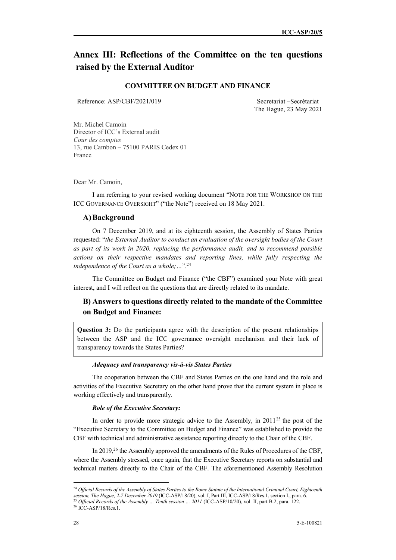# **Annex III: Reflections of the Committee on the ten questions raised by the External Auditor**

### **COMMITTEE ON BUDGET AND FINANCE**

Reference: ASP/CBF/2021/019 Secretariat –Secrétariat

The Hague, 23 May 2021

Mr. Michel Camoin Director of ICC's External audit *Cour des comptes*  13, rue Cambon – 75100 PARIS Cedex 01 France

Dear Mr. Camoin,

I am referring to your revised working document "NOTE FOR THE WORKSHOP ON THE ICC GOVERNANCE OVERSIGHT" ("the Note") received on 18 May 2021.

#### **A)Background**

On 7 December 2019, and at its eighteenth session, the Assembly of States Parties requested: "*the External Auditor to conduct an evaluation of the oversight bodies of the Court as part of its work in 2020, replacing the performance audit, and to recommend possible actions on their respective mandates and reporting lines, while fully respecting the independence of the Court as a whole;…*".<sup>24</sup>

The Committee on Budget and Finance ("the CBF") examined your Note with great interest, and I will reflect on the questions that are directly related to its mandate.

## **B) Answers to questions directly related to the mandate of the Committee on Budget and Finance:**

**Question 3:** Do the participants agree with the description of the present relationships between the ASP and the ICC governance oversight mechanism and their lack of transparency towards the States Parties?

#### *Adequacy and transparency vis-à-vis States Parties*

The cooperation between the CBF and States Parties on the one hand and the role and activities of the Executive Secretary on the other hand prove that the current system in place is working effectively and transparently.

#### *Role of the Executive Secretary:*

In order to provide more strategic advice to the Assembly, in 2011<sup>25</sup> the post of the "Executive Secretary to the Committee on Budget and Finance" was established to provide the CBF with technical and administrative assistance reporting directly to the Chair of the CBF.

In 2019,<sup>26</sup> the Assembly approved the amendments of the Rules of Procedures of the CBF, where the Assembly stressed, once again, that the Executive Secretary reports on substantial and technical matters directly to the Chair of the CBF. The aforementioned Assembly Resolution

 $\overline{a}$ <sup>24</sup> Official Records of the Assembly of States Parties to the Rome Statute of the International Criminal Court, Eighteenth *session, The Hague, 2-7 December 2019* (ICC-ASP/18/20), vol. I, Part III, ICC-ASP/18/Res.1, section I., para. 6.

<sup>&</sup>lt;sup>25</sup> Official Records of the Assembly ... Tenth session ... 2011 (ICC-ASP/10/20), vol. II, part B.2, para. 122.

<sup>&</sup>lt;sup>26</sup> ICC-ASP/18/Res.1.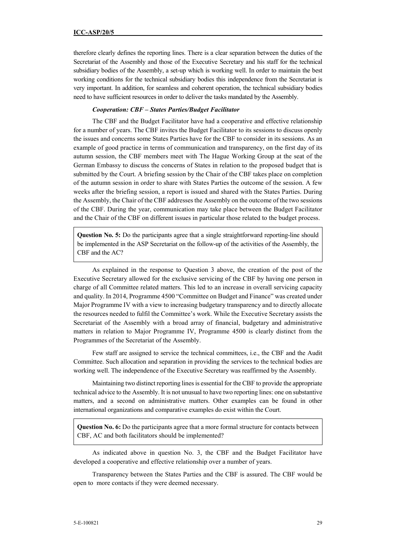therefore clearly defines the reporting lines. There is a clear separation between the duties of the Secretariat of the Assembly and those of the Executive Secretary and his staff for the technical subsidiary bodies of the Assembly, a set-up which is working well. In order to maintain the best working conditions for the technical subsidiary bodies this independence from the Secretariat is very important. In addition, for seamless and coherent operation, the technical subsidiary bodies need to have sufficient resources in order to deliver the tasks mandated by the Assembly.

#### *Cooperation: CBF – States Parties/Budget Facilitator*

The CBF and the Budget Facilitator have had a cooperative and effective relationship for a number of years. The CBF invites the Budget Facilitator to its sessions to discuss openly the issues and concerns some States Parties have for the CBF to consider in its sessions. As an example of good practice in terms of communication and transparency, on the first day of its autumn session, the CBF members meet with The Hague Working Group at the seat of the German Embassy to discuss the concerns of States in relation to the proposed budget that is submitted by the Court. A briefing session by the Chair of the CBF takes place on completion of the autumn session in order to share with States Parties the outcome of the session. A few weeks after the briefing session, a report is issued and shared with the States Parties. During the Assembly, the Chair of the CBF addresses the Assembly on the outcome of the two sessions of the CBF. During the year, communication may take place between the Budget Facilitator and the Chair of the CBF on different issues in particular those related to the budget process.

**Question No. 5:** Do the participants agree that a single straightforward reporting-line should be implemented in the ASP Secretariat on the follow-up of the activities of the Assembly, the CBF and the AC?

As explained in the response to Question 3 above, the creation of the post of the Executive Secretary allowed for the exclusive servicing of the CBF by having one person in charge of all Committee related matters. This led to an increase in overall servicing capacity and quality. In 2014, Programme 4500 "Committee on Budget and Finance" was created under Major Programme IV with a view to increasing budgetary transparency and to directly allocate the resources needed to fulfil the Committee's work. While the Executive Secretary assists the Secretariat of the Assembly with a broad array of financial, budgetary and administrative matters in relation to Major Programme IV, Programme 4500 is clearly distinct from the Programmes of the Secretariat of the Assembly.

Few staff are assigned to service the technical committees, i.e., the CBF and the Audit Committee. Such allocation and separation in providing the services to the technical bodies are working well. The independence of the Executive Secretary was reaffirmed by the Assembly.

Maintaining two distinct reporting lines is essential for the CBF to provide the appropriate technical advice to the Assembly. It is not unusual to have two reporting lines: one on substantive matters, and a second on administrative matters. Other examples can be found in other international organizations and comparative examples do exist within the Court.

**Question No. 6:** Do the participants agree that a more formal structure for contacts between CBF, AC and both facilitators should be implemented?

As indicated above in question No. 3, the CBF and the Budget Facilitator have developed a cooperative and effective relationship over a number of years.

Transparency between the States Parties and the CBF is assured. The CBF would be open to more contacts if they were deemed necessary.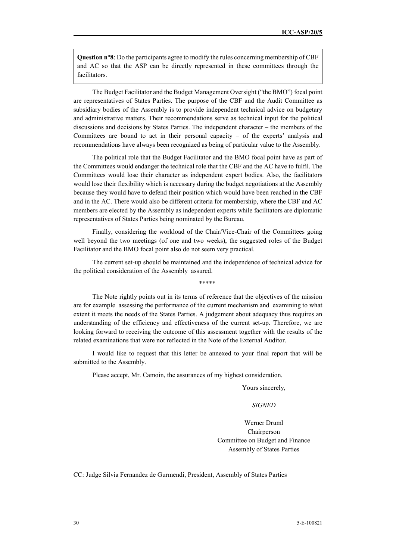**Question n°8**: Do the participants agree to modify the rules concerning membership of CBF and AC so that the ASP can be directly represented in these committees through the facilitators.

The Budget Facilitator and the Budget Management Oversight ("the BMO") focal point are representatives of States Parties. The purpose of the CBF and the Audit Committee as subsidiary bodies of the Assembly is to provide independent technical advice on budgetary and administrative matters. Their recommendations serve as technical input for the political discussions and decisions by States Parties. The independent character – the members of the Committees are bound to act in their personal capacity  $-$  of the experts' analysis and recommendations have always been recognized as being of particular value to the Assembly.

The political role that the Budget Facilitator and the BMO focal point have as part of the Committees would endanger the technical role that the CBF and the AC have to fulfil. The Committees would lose their character as independent expert bodies. Also, the facilitators would lose their flexibility which is necessary during the budget negotiations at the Assembly because they would have to defend their position which would have been reached in the CBF and in the AC. There would also be different criteria for membership, where the CBF and AC members are elected by the Assembly as independent experts while facilitators are diplomatic representatives of States Parties being nominated by the Bureau.

Finally, considering the workload of the Chair/Vice-Chair of the Committees going well beyond the two meetings (of one and two weeks), the suggested roles of the Budget Facilitator and the BMO focal point also do not seem very practical.

The current set-up should be maintained and the independence of technical advice for the political consideration of the Assembly assured.

\*\*\*\*\*

The Note rightly points out in its terms of reference that the objectives of the mission are for example assessing the performance of the current mechanism and examining to what extent it meets the needs of the States Parties. A judgement about adequacy thus requires an understanding of the efficiency and effectiveness of the current set-up. Therefore, we are looking forward to receiving the outcome of this assessment together with the results of the related examinations that were not reflected in the Note of the External Auditor.

I would like to request that this letter be annexed to your final report that will be submitted to the Assembly.

Please accept, Mr. Camoin, the assurances of my highest consideration.

Yours sincerely,

## *SIGNED*

Werner Druml Chairperson Committee on Budget and Finance Assembly of States Parties

CC: Judge Silvia Fernandez de Gurmendi, President, Assembly of States Parties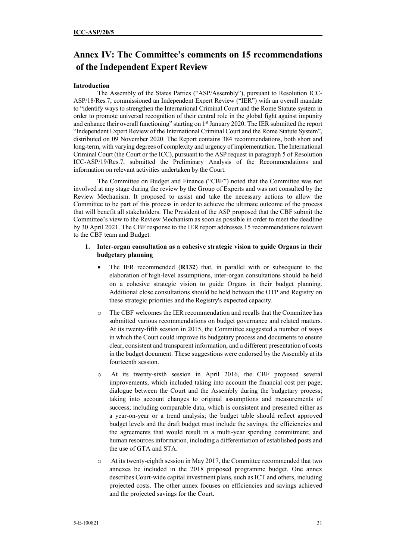# **Annex IV: The Committee's comments on 15 recommendations of the Independent Expert Review**

### **Introduction**

The Assembly of the States Parties ("ASP/Assembly"), pursuant to Resolution ICC-ASP/18/Res.7, commissioned an Independent Expert Review ("IER") with an overall mandate to "identify ways to strengthen the International Criminal Court and the Rome Statute system in order to promote universal recognition of their central role in the global fight against impunity and enhance their overall functioning" starting on 1<sup>st</sup> January 2020. The IER submitted the report "Independent Expert Review of the International Criminal Court and the Rome Statute System", distributed on 09 November 2020. The Report contains 384 recommendations, both short and long-term, with varying degrees of complexity and urgency of implementation. The International Criminal Court (the Court or the ICC), pursuant to the ASP request in paragraph 5 of Resolution ICC-ASP/19/Res.7, submitted the Preliminary Analysis of the Recommendations and information on relevant activities undertaken by the Court.

The Committee on Budget and Finance ("CBF") noted that the Committee was not involved at any stage during the review by the Group of Experts and was not consulted by the Review Mechanism. It proposed to assist and take the necessary actions to allow the Committee to be part of this process in order to achieve the ultimate outcome of the process that will benefit all stakeholders. The President of the ASP proposed that the CBF submit the Committee's view to the Review Mechanism as soon as possible in order to meet the deadline by 30 April 2021. The CBF response to the IER report addresses 15 recommendations relevant to the CBF team and Budget.

#### **1. Inter-organ consultation as a cohesive strategic vision to guide Organs in their budgetary planning**

- The IER recommended (**R132**) that, in parallel with or subsequent to the elaboration of high-level assumptions, inter-organ consultations should be held on a cohesive strategic vision to guide Organs in their budget planning. Additional close consultations should be held between the OTP and Registry on these strategic priorities and the Registry's expected capacity.
- o The CBF welcomes the IER recommendation and recalls that the Committee has submitted various recommendations on budget governance and related matters. At its twenty-fifth session in 2015, the Committee suggested a number of ways in which the Court could improve its budgetary process and documents to ensure clear, consistent and transparent information, and a different presentation of costs in the budget document. These suggestions were endorsed by the Assembly at its fourteenth session.
- o At its twenty-sixth session in April 2016, the CBF proposed several improvements, which included taking into account the financial cost per page; dialogue between the Court and the Assembly during the budgetary process; taking into account changes to original assumptions and measurements of success; including comparable data, which is consistent and presented either as a year-on-year or a trend analysis; the budget table should reflect approved budget levels and the draft budget must include the savings, the efficiencies and the agreements that would result in a multi-year spending commitment; and human resources information, including a differentiation of established posts and the use of GTA and STA.
- o At its twenty-eighth session in May 2017, the Committee recommended that two annexes be included in the 2018 proposed programme budget. One annex describes Court-wide capital investment plans, such as ICT and others, including projected costs. The other annex focuses on efficiencies and savings achieved and the projected savings for the Court.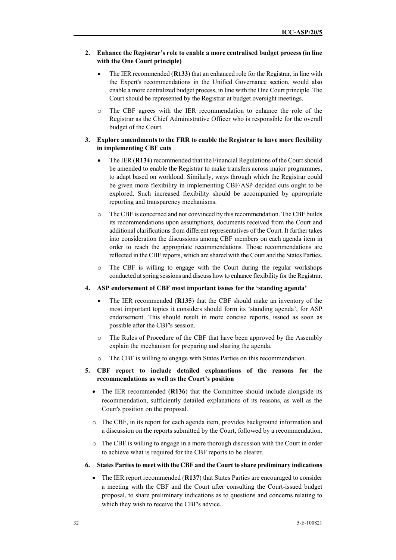## **2. Enhance the Registrar's role to enable a more centralised budget process (in line with the One Court principle)**

- The IER recommended (**R133**) that an enhanced role for the Registrar, in line with the Expert's recommendations in the Unified Governance section, would also enable a more centralized budget process, in line with the One Court principle. The Court should be represented by the Registrar at budget oversight meetings.
- o The CBF agrees with the IER recommendation to enhance the role of the Registrar as the Chief Administrative Officer who is responsible for the overall budget of the Court.

#### **3. Explore amendments to the FRR to enable the Registrar to have more flexibility in implementing CBF cuts**

- The IER (**R134**) recommended that the Financial Regulations of the Court should be amended to enable the Registrar to make transfers across major programmes, to adapt based on workload. Similarly, ways through which the Registrar could be given more flexibility in implementing CBF/ASP decided cuts ought to be explored. Such increased flexibility should be accompanied by appropriate reporting and transparency mechanisms.
- o The CBF is concerned and not convinced by this recommendation. The CBF builds its recommendations upon assumptions, documents received from the Court and additional clarifications from different representatives of the Court. It further takes into consideration the discussions among CBF members on each agenda item in order to reach the appropriate recommendations. Those recommendations are reflected in the CBF reports, which are shared with the Court and the States Parties.
- o The CBF is willing to engage with the Court during the regular workshops conducted at spring sessions and discuss how to enhance flexibility for the Registrar.

#### **4. ASP endorsement of CBF most important issues for the 'standing agenda'**

- The IER recommended (**R135**) that the CBF should make an inventory of the most important topics it considers should form its 'standing agenda', for ASP endorsement. This should result in more concise reports, issued as soon as possible after the CBF's session.
- o The Rules of Procedure of the CBF that have been approved by the Assembly explain the mechanism for preparing and sharing the agenda.
- o The CBF is willing to engage with States Parties on this recommendation.

#### **5. CBF report to include detailed explanations of the reasons for the recommendations as well as the Court's position**

- The IER recommended (R136) that the Committee should include alongside its recommendation, sufficiently detailed explanations of its reasons, as well as the Court's position on the proposal.
- $\circ$  The CBF, in its report for each agenda item, provides background information and a discussion on the reports submitted by the Court, followed by a recommendation.
- o The CBF is willing to engage in a more thorough discussion with the Court in order to achieve what is required for the CBF reports to be clearer.
- **6. States Parties to meet with the CBF and the Court to share preliminary indications** 
	- The IER report recommended (**R137**) that States Parties are encouraged to consider a meeting with the CBF and the Court after consulting the Court-issued budget proposal, to share preliminary indications as to questions and concerns relating to which they wish to receive the CBF's advice.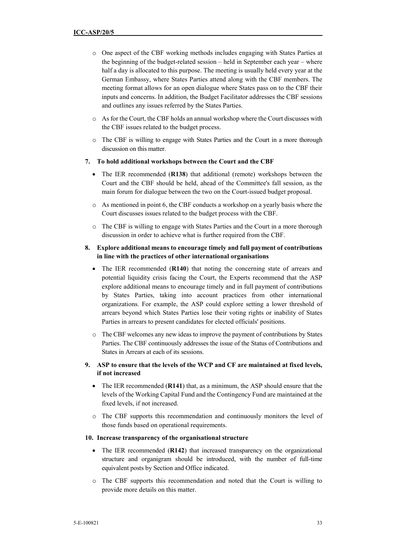- o One aspect of the CBF working methods includes engaging with States Parties at the beginning of the budget-related session – held in September each year – where half a day is allocated to this purpose. The meeting is usually held every year at the German Embassy, where States Parties attend along with the CBF members. The meeting format allows for an open dialogue where States pass on to the CBF their inputs and concerns. In addition, the Budget Facilitator addresses the CBF sessions and outlines any issues referred by the States Parties.
- o As for the Court, the CBF holds an annual workshop where the Court discusses with the CBF issues related to the budget process.
- o The CBF is willing to engage with States Parties and the Court in a more thorough discussion on this matter.

#### **7. To hold additional workshops between the Court and the CBF**

- The IER recommended (**R138**) that additional (remote) workshops between the Court and the CBF should be held, ahead of the Committee's fall session, as the main forum for dialogue between the two on the Court-issued budget proposal.
- o As mentioned in point 6, the CBF conducts a workshop on a yearly basis where the Court discusses issues related to the budget process with the CBF.
- o The CBF is willing to engage with States Parties and the Court in a more thorough discussion in order to achieve what is further required from the CBF.

### **8. Explore additional means to encourage timely and full payment of contributions in line with the practices of other international organisations**

- The IER recommended (**R140**) that noting the concerning state of arrears and potential liquidity crisis facing the Court, the Experts recommend that the ASP explore additional means to encourage timely and in full payment of contributions by States Parties, taking into account practices from other international organizations. For example, the ASP could explore setting a lower threshold of arrears beyond which States Parties lose their voting rights or inability of States Parties in arrears to present candidates for elected officials' positions.
- o The CBF welcomes any new ideas to improve the payment of contributions by States Parties. The CBF continuously addresses the issue of the Status of Contributions and States in Arrears at each of its sessions.
- **9. ASP to ensure that the levels of the WCP and CF are maintained at fixed levels, if not increased** 
	- The IER recommended (**R141**) that, as a minimum, the ASP should ensure that the levels of the Working Capital Fund and the Contingency Fund are maintained at the fixed levels, if not increased.
	- o The CBF supports this recommendation and continuously monitors the level of those funds based on operational requirements.

#### **10. Increase transparency of the organisational structure**

- The IER recommended (R142) that increased transparency on the organizational structure and organigram should be introduced, with the number of full-time equivalent posts by Section and Office indicated.
- o The CBF supports this recommendation and noted that the Court is willing to provide more details on this matter.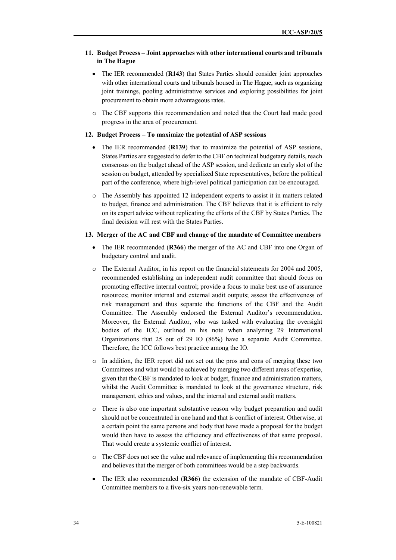## **11. Budget Process – Joint approaches with other international courts and tribunals in The Hague**

- The IER recommended (**R143**) that States Parties should consider joint approaches with other international courts and tribunals housed in The Hague, such as organizing joint trainings, pooling administrative services and exploring possibilities for joint procurement to obtain more advantageous rates.
- o The CBF supports this recommendation and noted that the Court had made good progress in the area of procurement.

### **12. Budget Process – To maximize the potential of ASP sessions**

- The IER recommended (**R139**) that to maximize the potential of ASP sessions, States Parties are suggested to defer to the CBF on technical budgetary details, reach consensus on the budget ahead of the ASP session, and dedicate an early slot of the session on budget, attended by specialized State representatives, before the political part of the conference, where high-level political participation can be encouraged.
- o The Assembly has appointed 12 independent experts to assist it in matters related to budget, finance and administration. The CBF believes that it is efficient to rely on its expert advice without replicating the efforts of the CBF by States Parties. The final decision will rest with the States Parties.

## **13. Merger of the AC and CBF and change of the mandate of Committee members**

- The IER recommended (**R366**) the merger of the AC and CBF into one Organ of budgetary control and audit.
- $\circ$  The External Auditor, in his report on the financial statements for 2004 and 2005, recommended establishing an independent audit committee that should focus on promoting effective internal control; provide a focus to make best use of assurance resources; monitor internal and external audit outputs; assess the effectiveness of risk management and thus separate the functions of the CBF and the Audit Committee. The Assembly endorsed the External Auditor's recommendation. Moreover, the External Auditor, who was tasked with evaluating the oversight bodies of the ICC, outlined in his note when analyzing 29 International Organizations that 25 out of 29 IO (86%) have a separate Audit Committee. Therefore, the ICC follows best practice among the IO.
- o In addition, the IER report did not set out the pros and cons of merging these two Committees and what would be achieved by merging two different areas of expertise, given that the CBF is mandated to look at budget, finance and administration matters, whilst the Audit Committee is mandated to look at the governance structure, risk management, ethics and values, and the internal and external audit matters.
- o There is also one important substantive reason why budget preparation and audit should not be concentrated in one hand and that is conflict of interest. Otherwise, at a certain point the same persons and body that have made a proposal for the budget would then have to assess the efficiency and effectiveness of that same proposal. That would create a systemic conflict of interest.
- o The CBF does not see the value and relevance of implementing this recommendation and believes that the merger of both committees would be a step backwards.
- The IER also recommended (**R366**) the extension of the mandate of CBF-Audit Committee members to a five-six years non-renewable term.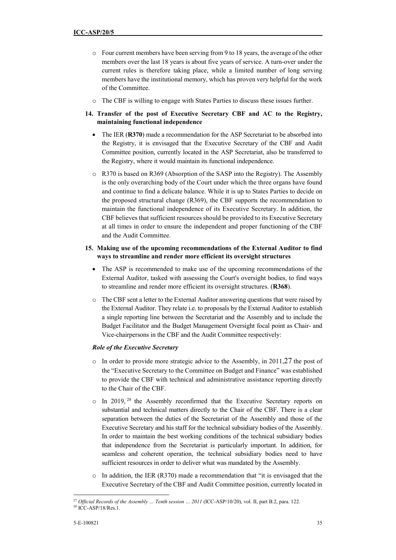- o Four current members have been serving from 9 to 18 years, the average of the other members over the last 18 years is about five years of service. A turn-over under the current rules is therefore taking place, while a limited number of long serving members have the institutional memory, which has proven very helpful for the work of the Committee.
- o The CBF is willing to engage with States Parties to discuss these issues further.
- **14. Transfer of the post of Executive Secretary CBF and AC to the Registry, maintaining functional independence** 
	- The IER (R370) made a recommendation for the ASP Secretariat to be absorbed into the Registry, it is envisaged that the Executive Secretary of the CBF and Audit Committee position, currently located in the ASP Secretariat, also be transferred to the Registry, where it would maintain its functional independence.
	- $\circ$  R370 is based on R369 (Absorption of the SASP into the Registry). The Assembly is the only overarching body of the Court under which the three organs have found and continue to find a delicate balance. While it is up to States Parties to decide on the proposed structural change (R369), the CBF supports the recommendation to maintain the functional independence of its Executive Secretary. In addition, the CBF believes that sufficient resources should be provided to its Executive Secretary at all times in order to ensure the independent and proper functioning of the CBF and the Audit Committee.

## **15. Making use of the upcoming recommendations of the External Auditor to find ways to streamline and render more efficient its oversight structures**

- The ASP is recommended to make use of the upcoming recommendations of the External Auditor, tasked with assessing the Court's oversight bodies, to find ways to streamline and render more efficient its oversight structures. (**R368**).
- o The CBF sent a letter to the External Auditor answering questions that were raised by the External Auditor. They relate i.e. to proposals by the External Auditor to establish a single reporting line between the Secretariat and the Assembly and to include the Budget Facilitator and the Budget Management Oversight focal point as Chair- and Vice-chairpersons in the CBF and the Audit Committee respectively:

## *Role of the Executive Secretary*

- $\circ$  In order to provide more strategic advice to the Assembly, in 2011,27 the post of the "Executive Secretary to the Committee on Budget and Finance" was established to provide the CBF with technical and administrative assistance reporting directly to the Chair of the CBF.
- o In 2019, <sup>28</sup> the Assembly reconfirmed that the Executive Secretary reports on substantial and technical matters directly to the Chair of the CBF. There is a clear separation between the duties of the Secretariat of the Assembly and those of the Executive Secretary and his staff for the technical subsidiary bodies of the Assembly. In order to maintain the best working conditions of the technical subsidiary bodies that independence from the Secretariat is particularly important. In addition, for seamless and coherent operation, the technical subsidiary bodies need to have sufficient resources in order to deliver what was mandated by the Assembly.
- $\circ$  In addition, the IER (R370) made a recommendation that "it is envisaged that the Executive Secretary of the CBF and Audit Committee position, currently located in

 $\overline{a}$ <sup>27</sup> Official Records of the Assembly ... Tenth session ... 2011 (ICC-ASP/10/20), vol. II, part B.2, para. 122.

 $28$  ICC-ASP/18/Res.1.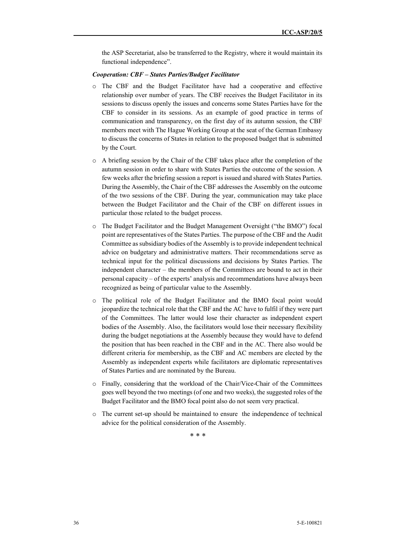the ASP Secretariat, also be transferred to the Registry, where it would maintain its functional independence".

#### *Cooperation: CBF – States Parties/Budget Facilitator*

- o The CBF and the Budget Facilitator have had a cooperative and effective relationship over number of years. The CBF receives the Budget Facilitator in its sessions to discuss openly the issues and concerns some States Parties have for the CBF to consider in its sessions. As an example of good practice in terms of communication and transparency, on the first day of its autumn session, the CBF members meet with The Hague Working Group at the seat of the German Embassy to discuss the concerns of States in relation to the proposed budget that is submitted by the Court.
- $\circ$  A briefing session by the Chair of the CBF takes place after the completion of the autumn session in order to share with States Parties the outcome of the session. A few weeks after the briefing session a report is issued and shared with States Parties. During the Assembly, the Chair of the CBF addresses the Assembly on the outcome of the two sessions of the CBF. During the year, communication may take place between the Budget Facilitator and the Chair of the CBF on different issues in particular those related to the budget process.
- o The Budget Facilitator and the Budget Management Oversight ("the BMO") focal point are representatives of the States Parties. The purpose of the CBF and the Audit Committee as subsidiary bodies of the Assembly is to provide independent technical advice on budgetary and administrative matters. Their recommendations serve as technical input for the political discussions and decisions by States Parties. The independent character – the members of the Committees are bound to act in their personal capacity – of the experts' analysis and recommendations have always been recognized as being of particular value to the Assembly.
- o The political role of the Budget Facilitator and the BMO focal point would jeopardize the technical role that the CBF and the AC have to fulfil if they were part of the Committees. The latter would lose their character as independent expert bodies of the Assembly. Also, the facilitators would lose their necessary flexibility during the budget negotiations at the Assembly because they would have to defend the position that has been reached in the CBF and in the AC. There also would be different criteria for membership, as the CBF and AC members are elected by the Assembly as independent experts while facilitators are diplomatic representatives of States Parties and are nominated by the Bureau.
- o Finally, considering that the workload of the Chair/Vice-Chair of the Committees goes well beyond the two meetings (of one and two weeks), the suggested roles of the Budget Facilitator and the BMO focal point also do not seem very practical.
- o The current set-up should be maintained to ensure the independence of technical advice for the political consideration of the Assembly.

\* \* \*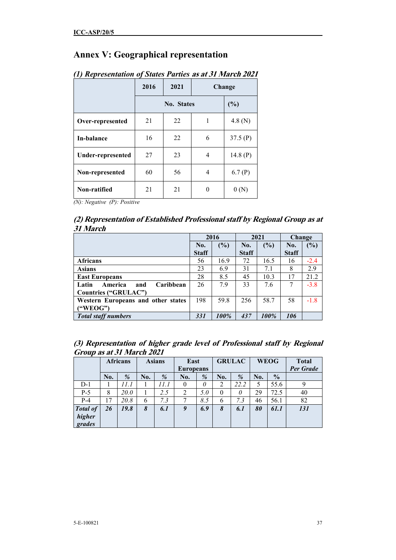# **Annex V: Geographical representation**

|                          | 2016 | 2021 |   | Change     |
|--------------------------|------|------|---|------------|
|                          |      | (%)  |   |            |
| Over-represented         | 21   | 22   | 1 | 4.8 $(N)$  |
| In-balance               | 16   | 22   | 6 | 37.5(P)    |
| <b>Under-represented</b> | 27   | 23   | 4 | 14.8 $(P)$ |
| Non-represented          | 60   | 56   | 4 | 6.7(P)     |
| Non-ratified             | 21   | 21   | 0 |            |

# *(1) Representation of States Parties* **as at 31 March 2021**

*(N): Negative (P): Positive* 

## **(2) Representation of Established Professional staff by Regional Group as at 31 March**

|                                      |              | 2016 |              | 2021 | <b>Change</b> |        |
|--------------------------------------|--------------|------|--------------|------|---------------|--------|
|                                      | No.          | (%)  | No.          | (%)  | No.           | $(\%)$ |
|                                      | <b>Staff</b> |      | <b>Staff</b> |      | <b>Staff</b>  |        |
| <b>Africans</b>                      | 56           | 16.9 | 72           | 16.5 | 16            | $-2.4$ |
| <b>Asians</b>                        | 23           | 6.9  | 31           | 7.1  | 8             | 2.9    |
| <b>East Europeans</b>                | 28           | 8.5  | 45           | 10.3 | 17            | 21.2   |
| Caribbean<br>America<br>Latin<br>and | 26           | 7.9  | 33           | 7.6  | 7             | $-3.8$ |
| <b>Countries ("GRULAC")</b>          |              |      |              |      |               |        |
| Western Europeans and other states   | 198          | 59.8 | 256          | 58.7 | 58            | $-1.8$ |
| ("WEOG")                             |              |      |              |      |               |        |
| <b>Total staff numbers</b>           | 331          | 100% | 437          | 100% | 106           |        |

| (3) Representation of higher grade level of Professional staff by Regional |  |  |  |
|----------------------------------------------------------------------------|--|--|--|
| Group as at 31 March 2021                                                  |  |  |  |

|                                     | <b>Africans</b> |             | <b>Asians</b> |      | East             |     | <b>GRULAC</b>  |      |     | <b>WEOG</b>   | <b>Total</b> |
|-------------------------------------|-----------------|-------------|---------------|------|------------------|-----|----------------|------|-----|---------------|--------------|
|                                     |                 |             |               |      | <b>Europeans</b> |     |                |      |     |               | Per Grade    |
|                                     | No.             | $\%$        | No.           | %    | No.              | %   | No.            | %    | No. | $\frac{0}{0}$ |              |
| $D-1$                               |                 | 11.1        |               | 11.1 |                  | 0   | $\overline{2}$ | 22.2 | 5   | 55.6          |              |
| $P-5$                               | 8               | <i>20.0</i> |               | 2.5  |                  | 5.0 | $\theta$       | 0    | 29  | 72.5          | 40           |
| $P-4$                               | 17              | 20.8        | 6             | 7.3  |                  | 8.5 | 6              | 7.3  | 46  | 56.1          | 82           |
| <b>Total of</b><br>higher<br>grades | 26              | 19.8        | 8             | 6.1  | 9                | 6.9 | 8              | 6.1  | 80  | 61.1          | 131          |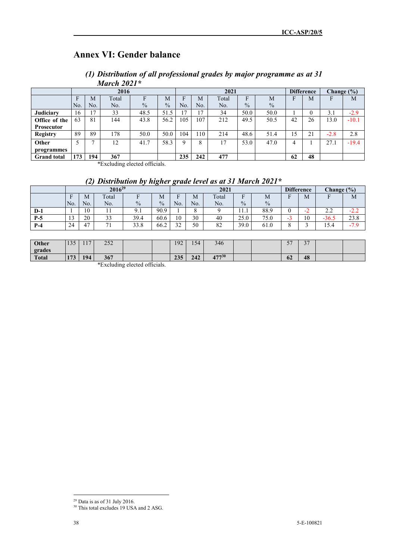# **Annex VI: Gender balance**

| (1) Distribution of all professional grades by major programme as at 31 |  |  |  |
|-------------------------------------------------------------------------|--|--|--|
| March $2021*$                                                           |  |  |  |

|                    |     |     | 2016  |               |               | 2021     |      |       |               |               | <b>Difference</b> |                   | Change $(\% )$ |         |
|--------------------|-----|-----|-------|---------------|---------------|----------|------|-------|---------------|---------------|-------------------|-------------------|----------------|---------|
|                    | F   | M   | Total |               | M             | Е        | M    | Total | F             | M             |                   | M                 | F              | M       |
|                    | No. | No. | No.   | $\frac{0}{0}$ | $\frac{0}{0}$ | No.      | No.  | No.   | $\frac{0}{0}$ | $\frac{0}{0}$ |                   |                   |                |         |
| Judiciary          | 16  | 17  | 33    | 48.5          | 51.5          | 17       | 17   | 34    | 50.0          | 50.0          |                   |                   | 3.1            | $-2.9$  |
| Office of the      | 63  | 81  | 144   | 43.8          | 56.2          | 105      | 107  | 212   | 49.5          | 50.5          | 42                | 26                | 13.0           | $-10.1$ |
| <b>Prosecutor</b>  |     |     |       |               |               |          |      |       |               |               |                   |                   |                |         |
| <b>Registry</b>    | 89  | 89  | 178   | 50.0          | 50.0          | 104      | l 10 | 214   | 48.6          | 51.4          | .5                | $\mathbf{\Omega}$ | $-2.8$         | 2.8     |
| Other              |     |     | 12    | 41.7          | 58.3          | $\Omega$ | 8    | 17    | 53.0          | 47.0          |                   |                   | 27.1           | $-19.4$ |
| programmes         |     |     |       |               |               |          |      |       |               |               |                   |                   |                |         |
| <b>Grand</b> total | 173 | 194 | 367   |               |               | 235      | 242  | 477   |               |               | 62                | 48                |                |         |

\*Excluding elected officials.

# *(2) Distribution by higher grade level as at 31 March 2021\**

|       | 2016 <sup>29</sup> |     |       |               |               |           | 2021 |       |                               |               |   |     | Change $(\% )$ |        |
|-------|--------------------|-----|-------|---------------|---------------|-----------|------|-------|-------------------------------|---------------|---|-----|----------------|--------|
|       | г                  | M   | Total |               | M             |           | М    | Total | □                             | M             | П | M   |                | M      |
|       | No.                | No. | No.   | $\frac{0}{0}$ | $\frac{0}{0}$ | No.       | No.  | No.   | $\frac{0}{0}$                 | $\frac{0}{0}$ |   |     |                |        |
| $D-1$ |                    | 10  |       | 9.1           | 90.9          |           |      |       | $\mathbf{1} \cdot \mathbf{1}$ | 88.9          |   | - 1 | 2.Z            | $-L.L$ |
| $P-5$ | . L J              | 20  | 33    | 39.4          | 60.6          | 10        | 30   | 40    | 25.0                          | 75.0          | - | 10  | $-36.5$        | 23.8   |
| $P-4$ | 24                 | 47  | $-1$  | 33.8          | 66.2          | 32<br>ے ر | 50   | 82    | 39.0                          | 61.0          |   |     | 15.4           | $-7.9$ |

| Other        | 125<br>199   | 117<br>$\mathbf{1}$ | 252<br>ے ب |  | 192 | 154.<br>$\sim$ | 346            |  | $ -$<br>◡                      | $\bigcap$<br>◡ |  |
|--------------|--------------|---------------------|------------|--|-----|----------------|----------------|--|--------------------------------|----------------|--|
| grades       |              |                     |            |  |     |                |                |  |                                |                |  |
| <b>Total</b> | 172<br>1 I J | 194                 | 367        |  | 235 | 242            | 17730<br>T 7 7 |  | $\overline{\phantom{a}}$<br>0Z | 48             |  |

\*Excluding elected officials.

 $29$  Data is as of 31 July 2016.

<sup>&</sup>lt;sup>30</sup> This total excludes 19 USA and 2 ASG.